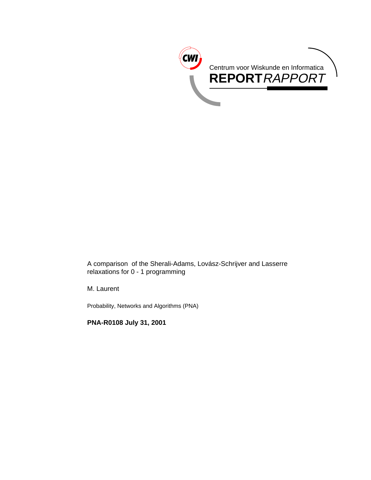

A comparison of the Sherali-Adams, Lovász-Schrijver and Lasserre relaxations for 0 - 1 programming

M. Laurent

Probability, Networks and Algorithms (PNA)

**PNA-R0108 July 31, 2001**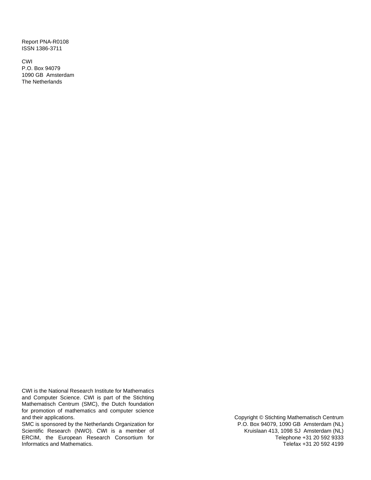Report PNA-R0108 ISSN 1386-3711

CWI P.O. Box 94079 1090 GB Amsterdam The Netherlands

CWI is the National Research Institute for Mathematics and Computer Science. CWI is part of the Stichting Mathematisch Centrum (SMC), the Dutch foundation for promotion of mathematics and computer science and their applications.

SMC is sponsored by the Netherlands Organization for Scientific Research (NWO). CWI is a member of ERCIM, the European Research Consortium for Informatics and Mathematics.

Copyright © Stichting Mathematisch Centrum P.O. Box 94079, 1090 GB Amsterdam (NL) Kruislaan 413, 1098 SJ Amsterdam (NL) Telephone +31 20 592 9333 Telefax +31 20 592 4199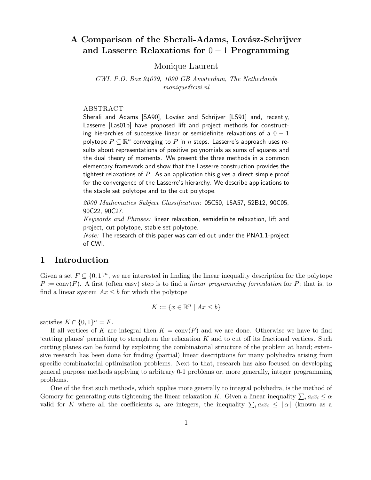# A Comparison of the Sherali-Adams, Lovász-Schrijver **and Lasserre Relaxations for** 0 − 1 **Programming**

Monique Laurent

CWI, P.O. Box 94079, 1090 GB Amsterdam, The Netherlands monique@cwi.nl

#### ABSTRACT

Sherali and Adams [SA90], Lovász and Schrijver [LS91] and, recently, Lasserre [Las01b] have proposed lift and project methods for constructing hierarchies of successive linear or semidefinite relaxations of a  $0 - 1$ polytope  $P \subseteq \mathbb{R}^n$  converging to P in n steps. Lasserre's approach uses results about representations of positive polynomials as sums of squares and the dual theory of moments. We present the three methods in a common elementary framework and show that the Lasserre construction provides the tightest relaxations of  $P$ . As an application this gives a direct simple proof for the convergence of the Lasserre's hierarchy. We describe applications to the stable set polytope and to the cut polytope.

2000 Mathematics Subject Classification: 05C50, 15A57, 52B12, 90C05, 90C22, 90C27.

Keywords and Phrases: linear relaxation, semidefinite relaxation, lift and project, cut polytope, stable set polytope.

*Note:* The research of this paper was carried out under the PNA1.1-project of CWI.

# **1 Introduction**

Given a set  $F \subseteq \{0,1\}^n$ , we are interested in finding the linear inequality description for the polytope  $P := conv(F)$ . A first (often easy) step is to find a linear programming formulation for P; that is, to find a linear system  $Ax \leq b$  for which the polytope

$$
K := \{ x \in \mathbb{R}^n \mid Ax \le b \}
$$

satisfies  $K \cap \{0,1\}^n = F$ .

If all vertices of K are integral then  $K = \text{conv}(F)$  and we are done. Otherwise we have to find 'cutting planes' permitting to strenghten the relaxation K and to cut off its fractional vertices. Such cutting planes can be found by exploiting the combinatorial structure of the problem at hand; extensive research has been done for finding (partial) linear descriptions for many polyhedra arising from specific combinatorial optimization problems. Next to that, research has also focused on developing general purpose methods applying to arbitrary 0-1 problems or, more generally, integer programming problems.

One of the first such methods, which applies more generally to integral polyhedra, is the method of Gomory for generating cuts tightening the linear relaxation K. Given a linear inequality  $\sum_i a_i x_i \leq \alpha$ valid for K where all the coefficients  $a_i$  are integers, the inequality  $\sum_i a_i x_i \leq \lfloor \alpha \rfloor$  (known as a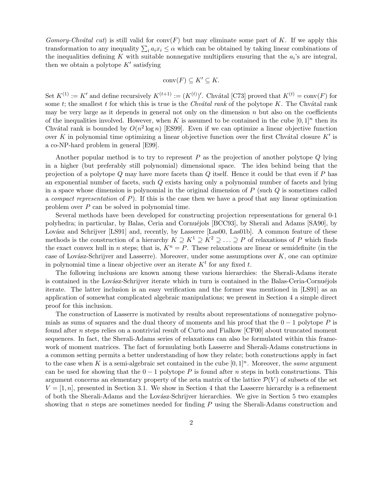Gomory-Chvátal cut) is still valid for conv $(F)$  but may eliminate some part of K. If we apply this transformation to any inequality  $\sum_i a_i x_i \leq \alpha$  which can be obtained by taking linear combinations of the inequalities defining K with suitable nonnegative multipliers ensuring that the  $a_i$ 's are integral, then we obtain a polytope  $K'$  satisfying

$$
conv(F) \subseteq K' \subseteq K.
$$

Set  $K^{(1)} := K'$  and define recursively  $K^{(t+1)} := (K^{(t)})'$ . Chvátal [C73] proved that  $K^{(t)} = \text{conv}(F)$  for some t; the smallest t for which this is true is the Chv $\acute{a}$ tal rank of the polytope K. The Chvátal rank may be very large as it depends in general not only on the dimension  $n$  but also on the coefficients of the inequalities involved. However, when K is assumed to be contained in the cube  $[0, 1]^n$  then its Chvátal rank is bounded by  $O(n^2 \log n)$  [ES99]. Even if we can optimize a linear objective function over K in polynomial time optimizing a linear objective function over the first Chvátal closure  $K'$  is a co-NP-hard problem in general [E99].

Another popular method is to try to represent  $P$  as the projection of another polytope  $Q$  lying in a higher (but preferably still polynomial) dimensional space. The idea behind being that the projection of a polytope Q may have more facets than Q itself. Hence it could be that even if P has an exponential number of facets, such Q exists having only a polynomial number of facets and lying in a space whose dimension is polynomial in the original dimension of  $P$  (such  $Q$  is sometimes called a *compact representation* of  $P$ ). If this is the case then we have a proof that any linear optimization problem over P can be solved in polynomial time.

Several methods have been developed for constructing projection representations for general 0-1 polyhedra; in particular, by Balas, Ceria and Cornuéjols [BCC93], by Sherali and Adams [SA90], by Lovász and Schrijver [LS91] and, recently, by Lasserre [Las00, Las01b]. A common feature of these methods is the construction of a hierarchy  $K \supseteq K^1 \supseteq K^2 \supseteq \ldots \supseteq P$  of relaxations of P which finds the exact convex hull in n steps; that is,  $K^n = P$ . These relaxations are linear or semidefinite (in the case of Lovász-Schrijver and Lasserre). Moreover, under some assumptions over  $K$ , one can optimize in polynomial time a linear objective over an iterate  $K<sup>t</sup>$  for any fixed t.

The following inclusions are known among these various hierarchies: the Sherali-Adams iterate is contained in the Lovász-Schrijver iterate which in turn is contained in the Balas-Ceria-Cornuéjols iterate. The latter inclusion is an easy verification and the former was mentioned in [LS91] as an application of somewhat complicated algebraic manipulations; we present in Section 4 a simple direct proof for this inclusion.

The construction of Lasserre is motivated by results about representations of nonnegative polynomials as sums of squares and the dual theory of moments and his proof that the  $0 - 1$  polytope P is found after n steps relies on a nontrivial result of Curto and Fialkow [CF00] about truncated moment sequences. In fact, the Sherali-Adams series of relaxations can also be formulated within this framework of moment matrices. The fact of formulating both Lasserre and Sherali-Adams constructions in a common setting permits a better understanding of how they relate; both constructions apply in fact to the case when K is a semi-algebraic set contained in the cube  $[0, 1]^n$ . Moreover, the same argument can be used for showing that the  $0 - 1$  polytope P is found after n steps in both constructions. This argument concerns an elementary property of the zeta matrix of the lattice  $\mathcal{P}(V)$  of subsets of the set  $V = [1, n]$ , presented in Section 3.1. We show in Section 4 that the Lasserre hierarchy is a refinement of both the Sherali-Adams and the Lov´asz-Schrijver hierarchies. We give in Section 5 two examples showing that n steps are sometimes needed for finding  $P$  using the Sherali-Adams construction and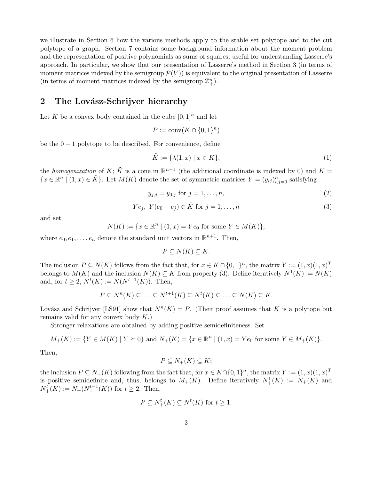we illustrate in Section 6 how the various methods apply to the stable set polytope and to the cut polytope of a graph. Section 7 contains some background information about the moment problem and the representation of positive polynomials as sums of squares, useful for understanding Lasserre's approach. In particular, we show that our presentation of Lasserre's method in Section 3 (in terms of moment matrices indexed by the semigroup  $\mathcal{P}(V)$  is equivalent to the original presentation of Lasserre (in terms of moment matrices indexed by the semigroup  $\mathbb{Z}_{+}^{n}$ ).

## 2 The Lovász-Schrijver hierarchy

Let K be a convex body contained in the cube  $[0, 1]^n$  and let

$$
P := \text{conv}(K \cap \{0, 1\}^n)
$$

be the  $0 - 1$  polytope to be described. For convenience, define

$$
\tilde{K} := \{ \lambda(1, x) \mid x \in K \},\tag{1}
$$

the homogenization of K;  $\tilde{K}$  is a cone in  $\mathbb{R}^{n+1}$  (the additional coordinate is indexed by 0) and  $K =$  ${x \in \mathbb{R}^n \mid (1, x) \in \tilde{K}}$ . Let  $M(K)$  denote the set of symmetric matrices  $Y = (y_{ij})_{i,j=0}^n$  satisfying

$$
y_{j,j} = y_{0,j} \text{ for } j = 1, \dots, n,
$$
\n(2)

$$
Ye_j, Y(e_0 - e_j) \in \tilde{K} \text{ for } j = 1, \dots, n
$$
\n
$$
(3)
$$

and set

$$
N(K) := \{ x \in \mathbb{R}^n \mid (1, x) = Ye_0 \text{ for some } Y \in M(K) \},
$$

where  $e_0, e_1, \ldots, e_n$  denote the standard unit vectors in  $\mathbb{R}^{n+1}$ . Then,

$$
P \subseteq N(K) \subseteq K.
$$

The inclusion  $P \subseteq N(K)$  follows from the fact that, for  $x \in K \cap \{0,1\}^n$ , the matrix  $Y := (1,x)(1,x)^T$ belongs to  $M(K)$  and the inclusion  $N(K) \subseteq K$  from property (3). Define iteratively  $N^1(K) := N(K)$ and, for  $t \geq 2$ ,  $N^t(K) := N(N^{t-1}(K))$ . Then,

$$
P \subseteq N^{n}(K) \subseteq \ldots \subseteq N^{t+1}(K) \subseteq N^{t}(K) \subseteq \ldots \subseteq N(K) \subseteq K.
$$

Lovász and Schrijver [LS91] show that  $N^n(K) = P$ . (Their proof assumes that K is a polytope but remains valid for any convex body  $K$ .)

Stronger relaxations are obtained by adding positive semidefiniteness. Set

$$
M_{+}(K) := \{ Y \in M(K) \mid Y \succeq 0 \} \text{ and } N_{+}(K) = \{ x \in \mathbb{R}^{n} \mid (1, x) = Ye_0 \text{ for some } Y \in M_{+}(K) \}.
$$

Then,

$$
P \subseteq N_+(K) \subseteq K;
$$

the inclusion  $P \subseteq N_+(K)$  following from the fact that, for  $x \in K \cap \{0,1\}^n$ , the matrix  $Y := (1,x)(1,x)^T$ is positive semidefinite and, thus, belongs to  $M_+(K)$ . Define iteratively  $N^1_+(K) := N_+(K)$  and  $N_{+}^{t}(K) := N_{+}(N_{+}^{t-1}(K))$  for  $t \geq 2$ . Then,

$$
P \subseteq N^t_+(K) \subseteq N^t(K) \text{ for } t \ge 1.
$$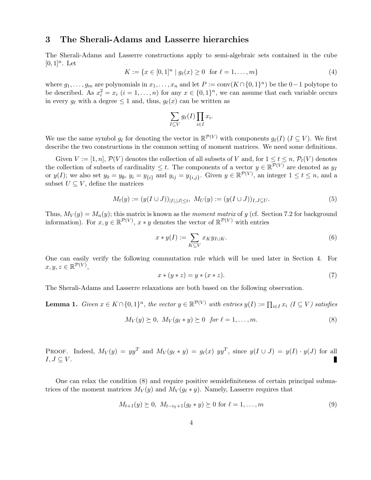### **3 The Sherali-Adams and Lasserre hierarchies**

The Sherali-Adams and Lasserre constructions apply to semi-algebraic sets contained in the cube  $[0, 1]^n$ . Let

$$
K := \{ x \in [0,1]^n \mid g_\ell(x) \ge 0 \text{ for } \ell = 1, \dots, m \}
$$
\n(4)

where  $g_1, \ldots, g_m$  are polynomials in  $x_1, \ldots, x_n$  and let  $P := \text{conv}(K \cap \{0, 1\}^n)$  be the  $0 - 1$  polytope to be described. As  $x_i^2 = x_i$   $(i = 1, ..., n)$  for any  $x \in \{0, 1\}^n$ , we can assume that each variable occurs in every  $g_{\ell}$  with a degree  $\leq 1$  and, thus,  $g_{\ell}(x)$  can be written as

$$
\sum_{I \subseteq V} g_{\ell}(I) \prod_{i \in I} x_i.
$$

We use the same symbol  $g_\ell$  for denoting the vector in  $\mathbb{R}^{\mathcal{P}(V)}$  with components  $g_\ell(I)$  ( $I \subseteq V$ ). We first describe the two constructions in the common setting of moment matrices. We need some definitions.

Given  $V := [1, n], \mathcal{P}(V)$  denotes the collection of all subsets of V and, for  $1 \le t \le n$ ,  $\mathcal{P}_t(V)$  denotes the collection of subsets of cardinality  $\leq t$ . The components of a vector  $y \in \mathbb{R}^{\mathcal{P}(V)}$  are denoted as  $y_I$ or  $y(I)$ ; we also set  $y_0 = y_0$ ,  $y_i = y_{\{i\}}$  and  $y_{ij} = y_{\{i,j\}}$ . Given  $y \in \mathbb{R}^{\mathcal{P}(V)}$ , an integer  $1 \le t \le n$ , and a subset  $U \subseteq V$ , define the matrices

$$
M_t(y) := (y(I \cup J))_{|I|,|J| \le t}, \ M_U(y) := (y(I \cup J))_{I,J \subseteq U}.
$$
\n<sup>(5)</sup>

Thus,  $M_V(y) = M_n(y)$ ; this matrix is known as the moment matrix of y (cf. Section 7.2 for background information). For  $x, y \in \mathbb{R}^{\mathcal{P}(V)}$ ,  $x * y$  denotes the vector of  $\mathbb{R}^{\mathcal{P}(V)}$  with entries

$$
x * y(I) := \sum_{K \subseteq V} x_K y_{I \cup K}.\tag{6}
$$

One can easily verify the following commutation rule which will be used later in Section 4. For  $x, y, z \in \mathbb{R}^{\mathcal{P}(V)},$ 

$$
x \ast (y \ast z) = y \ast (x \ast z). \tag{7}
$$

The Sherali-Adams and Lasserre relaxations are both based on the following observation.

**Lemma 1.** Given  $x \in K \cap \{0,1\}^n$ , the vector  $y \in \mathbb{R}^{\mathcal{P}(V)}$  with entries  $y(I) := \prod_{i \in I} x_i$  ( $I \subseteq V$ ) satisfies

$$
M_V(y) \succeq 0, \ M_V(g_{\ell} * y) \succeq 0 \ \text{for } \ell = 1, \dots, m. \tag{8}
$$

PROOF. Indeed,  $M_V(y) = yy^T$  and  $M_V(g_\ell * y) = g_\ell(x) yy^T$ , since  $y(I \cup J) = y(I) \cdot y(J)$  for all  $I,J\subseteq V$ .

One can relax the condition (8) and require positive semidefiniteness of certain principal submatrices of the moment matrices  $M_V(y)$  and  $M_V(g_{\ell} * y)$ . Namely, Lasserre requires that

$$
M_{t+1}(y) \succeq 0, \ M_{t-v_{\ell}+1}(g_{\ell} * y) \succeq 0 \text{ for } \ell = 1, ..., m
$$
 (9)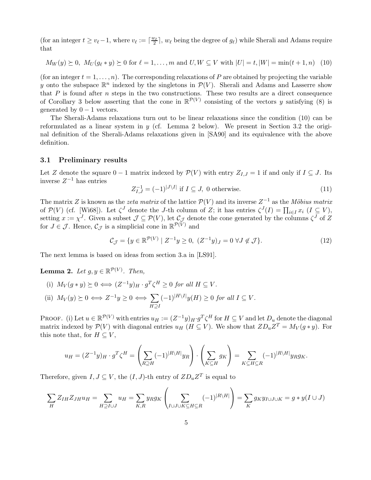(for an integer  $t \ge v_\ell - 1$ , where  $v_\ell := \lceil \frac{w_\ell}{2} \rceil$ ,  $w_\ell$  being the degree of  $g_\ell$ ) while Sherali and Adams require that

$$
M_W(y) \succeq 0, M_U(g_\ell * y) \succeq 0 \text{ for } \ell = 1, \dots, m \text{ and } U, W \subseteq V \text{ with } |U| = t, |W| = \min(t + 1, n) \tag{10}
$$

(for an integer  $t = 1, \ldots, n$ ). The corresponding relaxations of P are obtained by projecting the variable y onto the subspace  $\mathbb{R}^n$  indexed by the singletons in  $\mathcal{P}(V)$ . Sherali and Adams and Lasserre show that  $P$  is found after  $n$  steps in the two constructions. These two results are a direct consequence of Corollary 3 below asserting that the cone in  $\mathbb{R}^{\mathcal{P}(V)}$  consisting of the vectors y satisfying (8) is generated by  $0 - 1$  vectors.

The Sherali-Adams relaxations turn out to be linear relaxations since the condition (10) can be reformulated as a linear system in  $y$  (cf. Lemma 2 below). We present in Section 3.2 the original definition of the Sherali-Adams relaxations given in [SA90] and its equivalence with the above definition.

### **3.1 Preliminary results**

Let Z denote the square  $0 - 1$  matrix indexed by  $\mathcal{P}(V)$  with entry  $Z_{I,J} = 1$  if and only if  $I \subseteq J$ . Its inverse  $Z^{-1}$  has entries

$$
Z_{I,J}^{-1} = (-1)^{|J \setminus I|} \text{ if } I \subseteq J, \text{ 0 otherwise.}
$$
 (11)

The matrix Z is known as the *zeta matrix* of the lattice  $\mathcal{P}(V)$  and its inverse  $Z^{-1}$  as the Möbius matrix of  $\mathcal{P}(V)$  (cf. [Wi68]). Let  $\zeta^J$  denote the J-th column of Z; it has entries  $\zeta^J(I) = \prod_{i \in I} x_i$   $(I \subseteq V)$ , setting  $x := \chi^J$ . Given a subset  $\mathcal{J} \subseteq \mathcal{P}(V)$ , let  $\mathcal{C}_{\mathcal{J}}$  denote the cone generated by the columns  $\zeta^J$  of Z for  $J \in \mathcal{J}$ . Hence,  $\mathcal{C}_{\mathcal{J}}$  is a simplicial cone in  $\mathbb{R}^{\mathcal{P}(V)}$  and

$$
C_{\mathcal{J}} = \{ y \in \mathbb{R}^{\mathcal{P}(V)} \mid Z^{-1}y \ge 0, \ (Z^{-1}y)_J = 0 \ \forall J \notin \mathcal{J} \}. \tag{12}
$$

The next lemma is based on ideas from section 3.a in [LS91].

**Lemma 2.** Let  $g, y \in \mathbb{R}^{\mathcal{P}(V)}$ . Then,

(i)  $M_V(g * y) \succeq 0 \Longleftrightarrow (Z^{-1}y)_H \cdot g^T \zeta^H \geq 0$  for all  $H \subseteq V$ . (ii)  $M_V(y) \succeq 0 \iff Z^{-1}y \geq 0 \iff \sum$ H⊇I  $(-1)^{|H\setminus I|}y(H)\geq 0$  for all  $I\subseteq V$ .

PROOF. (i) Let  $u \in \mathbb{R}^{\mathcal{P}(V)}$  with entries  $u_H := (Z^{-1}y)_H \cdot g^T \zeta^H$  for  $H \subseteq V$  and let  $D_u$  denote the diagonal matrix indexed by  $\mathcal{P}(V)$  with diagonal entries  $u_H$  ( $H \subseteq V$ ). We show that  $ZD_uZ^T = M_V(g*y)$ . For this note that, for  $H \subseteq V$ ,

$$
u_H = (Z^{-1}y)_H \cdot g^T \zeta^H = \left(\sum_{R \supseteq H} (-1)^{|R \setminus H|} y_R\right) \cdot \left(\sum_{K \subseteq H} g_K\right) = \sum_{K \subseteq H \subseteq R} (-1)^{|R \setminus H|} y_R g_K.
$$

Therefore, given  $I, J \subseteq V$ , the  $(I, J)$ -th entry of  $ZD_uZ^T$  is equal to

$$
\sum_{H} Z_{IH} Z_{JH} u_H = \sum_{H \supseteq I \cup J} u_H = \sum_{K,R} y_R g_K \left( \sum_{I \cup J \cup K \subseteq H \subseteq R} (-1)^{|R \setminus H|} \right) = \sum_{K} g_K y_{I \cup J \cup K} = g * y(I \cup J)
$$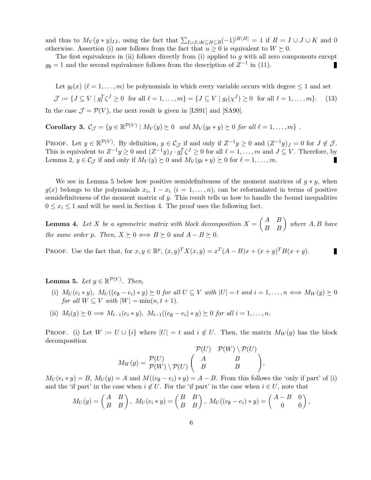and thus to  $M_V(g*y)_{IJ}$ , using the fact that  $\sum_{I\cup J\cup K\subseteq H\subseteq R}(-1)^{|R\setminus H|}=1$  if  $R=I\cup J\cup K$  and 0 otherwise. Assertion (i) now follows from the fact that  $u \geq 0$  is equivalent to  $W \succeq 0$ .

The first equivalence in (ii) follows directly from (i) applied to  $q$  with all zero components except  $g_{\emptyset} = 1$  and the second equivalence follows from the description of  $Z^{-1}$  in (11). П

Let  $g_{\ell}(x)$  ( $\ell = 1,\ldots,m$ ) be polynomials in which every variable occurs with degree  $\leq 1$  and set  $\mathcal{J} := \{ J \subseteq V \mid g_{\ell}^T \zeta^J \ge 0 \text{ for all } \ell = 1, \ldots, m \} = \{ J \subseteq V \mid g_{\ell}(\chi^J) \ge 0 \text{ for all } \ell = 1, \ldots, m \}.$  (13)

In the case  $\mathcal{J} = \mathcal{P}(V)$ , the next result is given in [LS91] and [SA90].

**Corollary 3.**  $\mathcal{C}_{\mathcal{J}} = \{y \in \mathbb{R}^{\mathcal{P}(V)} \mid M_V(y) \succeq 0 \text{ and } M_V(q_{\ell} * y) \succeq 0 \text{ for all } \ell = 1, \ldots, m\}$ .

PROOF. Let  $y \in \mathbb{R}^{\mathcal{P}(V)}$ . By definition,  $y \in \mathcal{C}_{\mathcal{J}}$  if and only if  $Z^{-1}y \geq 0$  and  $(Z^{-1}y)_J = 0$  for  $J \notin \mathcal{J}$ . This is equivalent to  $Z^{-1}y \ge 0$  and  $(Z^{-1}y)_J \cdot g_{\ell}^T \zeta^J \ge 0$  for all  $\ell = 1, \ldots, m$  and  $J \subseteq V$ . Therefore, by Lemma 2,  $y \in C_J$  if and only if  $M_V(y) \succeq 0$  and  $M_V(g_{\ell} * y) \succeq 0$  for  $\ell = 1, \ldots, m$ . П

We see in Lemma 5 below how positive semidefiniteness of the moment matrices of  $g * y$ , when  $g(x)$  belongs to the polynomials  $x_i$ ,  $1 - x_i$   $(i = 1, \ldots, n)$ , can be reformulated in terms of positive semidefiniteness of the moment matrix of  $y$ . This result tells us how to handle the bound inequalities  $0 \leq x_i \leq 1$  and will be used in Section 4. The proof uses the following fact.

**Lemma 4.** Let X be a symmetric matrix with block decomposition  $X = \begin{pmatrix} A & B \\ B & B \end{pmatrix}$  where  $A, B$  have the same order p. Then,  $X \succeq 0 \Longleftrightarrow B \succeq 0$  and  $A - B \succeq 0$ .

PROOF. Use the fact that, for  $x, y \in \mathbb{R}^p$ ,  $(x, y)^T X(x, y) = x^T (A - B)x + (x + y)^T B(x + y)$ .

**Lemma 5.** Let  $y \in \mathbb{R}^{\mathcal{P}(V)}$ . Then,

- (i)  $M_U(e_i * y)$ ,  $M_U((e_0 e_i) * y) \succeq 0$  for all  $U \subseteq V$  with  $|U| = t$  and  $i = 1, \ldots, n \iff M_W(y) \succeq 0$ for all  $W \subset V$  with  $|W| = \min(n, t + 1)$ .
- (ii)  $M_t(y) \succeq 0 \Longrightarrow M_{t-1}(e_i * y), M_{t-1}((e_0 e_i) * y) \succeq 0$  for all  $i = 1, \ldots, n$ .

PROOF. (i) Let  $W := U \cup \{i\}$  where  $|U| = t$  and  $i \notin U$ . Then, the matrix  $M_W(y)$  has the block decomposition  $(2\pi)$   $P(2\pi)$ 

$$
M_W(y) = \frac{\mathcal{P}(U)}{\mathcal{P}(W) \setminus \mathcal{P}(U)} \begin{pmatrix} \mathcal{P}(U) & \mathcal{P}(W) \setminus \mathcal{P}(U) \\ A & B \\ B & B \end{pmatrix}
$$

,

 $M_U(e_i * y) = B$ ,  $M_U(y) = A$  and  $M((e_0 - e_i) * y) = A - B$ . From this follows the 'only if part' of (i) and the 'if part' in the case when  $i \notin U$ . For the 'if part' in the case when  $i \in U$ , note that

$$
M_U(y) = \begin{pmatrix} A & B \\ B & B \end{pmatrix}, \ M_U(e_i * y) = \begin{pmatrix} B & B \\ B & B \end{pmatrix}, \ M_U((e_{\emptyset} - e_i) * y) = \begin{pmatrix} A - B & 0 \\ 0 & 0 \end{pmatrix},
$$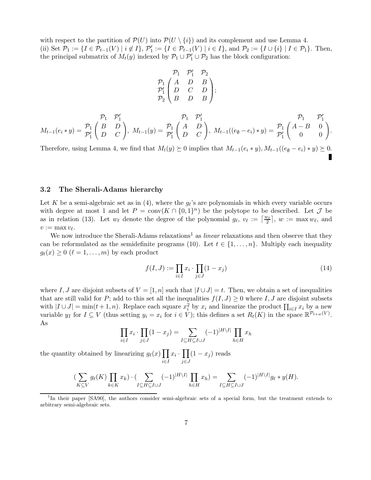with respect to the partition of  $\mathcal{P}(U)$  into  $\mathcal{P}(U \setminus \{i\})$  and its complement and use Lemma 4. (ii) Set  $\mathcal{P}_1 := \{I \in \mathcal{P}_{t-1}(V) \mid i \notin I\}, \mathcal{P}'_1 := \{I \in \mathcal{P}_{t-1}(V) \mid i \in I\}, \text{ and } \mathcal{P}_2 := \{I \cup \{i\} \mid I \in \mathcal{P}_1\}.$  Then, the principal submatrix of  $M_t(y)$  indexed by  $\mathcal{P}_1 \cup \mathcal{P}_1' \cup \mathcal{P}_2$  has the block configuration:

$$
\begin{array}{cc}\n & \mathcal{P}_1 & \mathcal{P}_1' & \mathcal{P}_2 \\
\mathcal{P}_1 & A & D & B \\
\mathcal{P}_1' & D & C & D \\
B & D & B\n\end{array};
$$

$$
\mathcal{P}_1 \quad \mathcal{P}_1' \quad \mathcal{P}_1' \quad \mathcal{P}_1' \quad \mathcal{P}_1 \quad \mathcal{P}_1' \quad \mathcal{P}_1 \quad \mathcal{P}_1' \quad \mathcal{P}_1' \quad \mathcal{P}_1' \quad \mathcal{P}_1' \quad \mathcal{P}_1' \quad \mathcal{P}_1' \quad \mathcal{P}_1' \quad \mathcal{P}_1' \quad \mathcal{P}_1' \quad \mathcal{P}_1' \quad \mathcal{P}_1' \quad \mathcal{P}_1' \quad \mathcal{P}_1' \quad \mathcal{P}_1' \quad \mathcal{P}_1' \quad \mathcal{P}_1' \quad \mathcal{P}_1' \quad \mathcal{P}_1' \quad \mathcal{P}_1' \quad \mathcal{P}_1' \quad \mathcal{P}_1' \quad \mathcal{P}_1' \quad \mathcal{P}_1' \quad \mathcal{P}_1' \quad \mathcal{P}_1' \quad \mathcal{P}_1' \quad \mathcal{P}_1' \quad \mathcal{P}_1' \quad \mathcal{P}_1' \quad \mathcal{P}_1' \quad \mathcal{P}_1' \quad \mathcal{P}_1' \quad \mathcal{P}_1' \quad \mathcal{P}_1' \quad \mathcal{P}_1' \quad \mathcal{P}_1' \quad \mathcal{P}_1' \quad \mathcal{P}_1' \quad \mathcal{P}_1' \quad \mathcal{P}_1' \quad \mathcal{P}_1' \quad \mathcal{P}_1' \quad \mathcal{P}_1' \quad \mathcal{P}_1' \quad \mathcal{P}_1' \quad \mathcal{P}_1' \quad \mathcal{P}_1' \quad \mathcal{P}_1' \quad \mathcal{P}_1' \quad \mathcal{P}_1' \quad \mathcal{P}_1' \quad \mathcal{P}_1' \quad \mathcal{P}_1' \quad \mathcal{P}_1' \quad \mathcal{P}_1' \quad \mathcal{P}_1' \quad \mathcal{P}_1' \quad \mathcal{P}_1' \quad \mathcal{P}_1' \quad \mathcal{P}_1' \quad \mathcal{P}_1' \quad \mathcal{P}_1' \quad \mathcal{P}_1' \quad \mathcal{P}_1' \quad \mathcal{P}_1' \quad \mathcal{P}_1' \quad \mathcal{P}_1' \quad \mathcal{P}_1' \quad \mathcal{P}_1' \quad \mathcal
$$

Therefore, using Lemma 4, we find that  $M_t(y) \succeq 0$  implies that  $M_{t-1}(e_i * y), M_{t-1}((e_{\emptyset} - e_i) * y) \succeq 0$ .

#### **3.2 The Sherali-Adams hierarchy**

Let K be a semi-algebraic set as in (4), where the  $g_{\ell}$ 's are polynomials in which every variable occurs with degree at most 1 and let  $P = \text{conv}(K \cap \{0,1\}^n)$  be the polytope to be described. Let  $\mathcal J$  be as in relation (13). Let  $w_{\ell}$  denote the degree of the polynomial  $g_{\ell}, v_{\ell} := \lceil \frac{w_{\ell}}{2} \rceil$ ,  $w := \max w_{\ell}$ , and  $v := \max v_{\ell}.$ 

We now introduce the Sherali-Adams relaxations<sup>1</sup> as *linear* relaxations and then observe that they can be reformulated as the semidefinite programs (10). Let  $t \in \{1, \ldots, n\}$ . Multiply each inequality  $g_{\ell}(x) \geq 0 \; (\ell = 1,\ldots,m)$  by each product

$$
f(I, J) := \prod_{i \in I} x_i \cdot \prod_{j \in J} (1 - x_j) \tag{14}
$$

where I, J are disjoint subsets of  $V = [1, n]$  such that  $|I \cup J| = t$ . Then, we obtain a set of inequalities that are still valid for P; add to this set all the inequalities  $f(I, J) \geq 0$  where I, J are disjoint subsets with  $|I \cup J| = \min(t+1, n)$ . Replace each square  $x_i^2$  by  $x_i$  and linearize the product  $\prod_{i \in I} x_i$  by a new variable y<sub>I</sub> for  $I \subseteq V$  (thus setting  $y_i = x_i$  for  $i \in V$ ); this defines a set  $R_t(K)$  in the space  $\mathbb{R}^{\mathcal{P}_{t+w}(V)}$ . As

$$
\prod_{i \in I} x_i \cdot \prod_{j \in J} (1 - x_j) = \sum_{I \subseteq H \subseteq I \cup J} (-1)^{|H \setminus I|} \prod_{h \in H} x_h
$$

the quantity obtained by linearizing  $g_{\ell}(x) \prod$ i∈I  $x_i \cdot \prod$ j∈J  $(1-x_j)$  reads

$$
\left(\sum_{K\subseteq V} g_\ell(K) \prod_{k\in K} x_k\right) \cdot \left(\sum_{I\subseteq H\subseteq I\cup J} (-1)^{|H\setminus I|} \prod_{h\in H} x_h\right) = \sum_{I\subseteq H\subseteq I\cup J} (-1)^{|H\setminus I|} g_\ell * y(H).
$$

<sup>&</sup>lt;sup>1</sup>In their paper [SA90], the authors consider semi-algebraic sets of a special form, but the treatment extends to arbitrary semi-algebraic sets.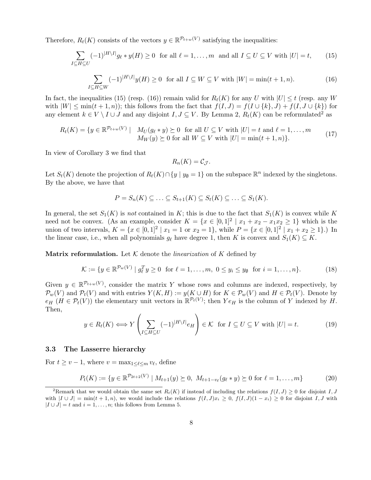Therefore,  $R_t(K)$  consists of the vectors  $y \in \mathbb{R}^{\mathcal{P}_{t+w}(V)}$  satisfying the inequalities:

$$
\sum_{I \subseteq H \subseteq U} (-1)^{|H \setminus I|} g_{\ell} * y(H) \ge 0 \quad \text{for all } \ell = 1, \dots, m \text{ and all } I \subseteq U \subseteq V \text{ with } |U| = t,
$$
 (15)

$$
\sum_{I \subseteq H \subseteq W} (-1)^{|H \setminus I|} y(H) \ge 0 \quad \text{for all } I \subseteq W \subseteq V \text{ with } |W| = \min(t+1, n). \tag{16}
$$

In fact, the inequalities (15) (resp. (16)) remain valid for  $R_t(K)$  for any U with  $|U| \le t$  (resp. any W with  $|W| \le \min(t+1,n)$ ; this follows from the fact that  $f(I,J) = f(I \cup \{k\}, J) + f(I, J \cup \{k\})$  for any element  $k \in V \setminus I \cup J$  and any disjoint  $I, J \subseteq V$ . By Lemma 2,  $R_t(K)$  can be reformulated<sup>2</sup> as

$$
R_t(K) = \{ y \in \mathbb{R}^{p_{t+w}(V)} \mid M_U(g_\ell * y) \succeq 0 \text{ for all } U \subseteq V \text{ with } |U| = t \text{ and } \ell = 1, \dots, m
$$
  

$$
M_W(y) \succeq 0 \text{ for all } W \subseteq V \text{ with } |U| = \min(t+1, n)\}.
$$
 (17)

In view of Corollary 3 we find that

$$
R_n(K) = \mathcal{C}_{\mathcal{J}}.
$$

Let  $S_t(K)$  denote the projection of  $R_t(K) \cap \{y \mid y_{\emptyset} = 1\}$  on the subspace  $\mathbb{R}^n$  indexed by the singletons. By the above, we have that

$$
P = S_n(K) \subseteq \ldots \subseteq S_{t+1}(K) \subseteq S_t(K) \subseteq \ldots \subseteq S_1(K).
$$

In general, the set  $S_1(K)$  is not contained in K; this is due to the fact that  $S_1(K)$  is convex while K need not be convex. (As an example, consider  $K = \{x \in [0,1]^2 | x_1 + x_2 - x_1x_2 \ge 1\}$  which is the union of two intervals,  $K = \{x \in [0,1]^2 | x_1 = 1 \text{ or } x_2 = 1\}$ , while  $P = \{x \in [0,1]^2 | x_1 + x_2 \ge 1\}$ .) In the linear case, i.e., when all polynomials  $g_\ell$  have degree 1, then K is convex and  $S_1(K) \subseteq K$ .

**Matrix reformulation.** Let  $K$  denote the *linearization* of K defined by

$$
\mathcal{K} := \{ y \in \mathbb{R}^{\mathcal{P}_w(V)} \mid g_\ell^T y \ge 0 \text{ for } \ell = 1, \dots, m, \ 0 \le y_i \le y_\emptyset \text{ for } i = 1, \dots, n \}. \tag{18}
$$

Given  $y \in \mathbb{R}^{\mathcal{P}_{t+w}(V)}$ , consider the matrix Y whose rows and columns are indexed, respectively, by  $\mathcal{P}_w(V)$  and  $\mathcal{P}_t(V)$  and with entries  $Y(K,H) := y(K \cup H)$  for  $K \in \mathcal{P}_w(V)$  and  $H \in \mathcal{P}_t(V)$ . Denote by  $e_H$  ( $H \in \mathcal{P}_t(V)$ ) the elementary unit vectors in  $\mathbb{R}^{\mathcal{P}_t(V)}$ ; then  $Y e_H$  is the column of Y indexed by H. Then,

$$
y \in R_t(K) \Longleftrightarrow Y \left( \sum_{I \subseteq H \subseteq U} (-1)^{|H \setminus I|} e_H \right) \in \mathcal{K} \text{ for } I \subseteq U \subseteq V \text{ with } |U| = t. \tag{19}
$$

#### **3.3 The Lasserre hierarchy**

For  $t \ge v - 1$ , where  $v = \max_{1 \le \ell \le m} v_{\ell}$ , define

$$
P_t(K) := \{ y \in \mathbb{R}^{\mathcal{P}_{2t+2}(V)} \mid M_{t+1}(y) \succeq 0, \ M_{t+1-v_\ell}(g_\ell * y) \succeq 0 \text{ for } \ell = 1,\ldots,m \}
$$
 (20)

<sup>&</sup>lt;sup>2</sup>Remark that we would obtain the same set  $R_t(K)$  if instead of including the relations  $f(I,J) \geq 0$  for disjoint I, J with  $|I \cup J| = \min(t + 1, n)$ , we would include the relations  $f(I, J)x_i \geq 0$ ,  $f(I, J)(1 - x_i) \geq 0$  for disjoint I, J with  $|I \cup J| = t$  and  $i = 1, \ldots, n$ ; this follows from Lemma 5.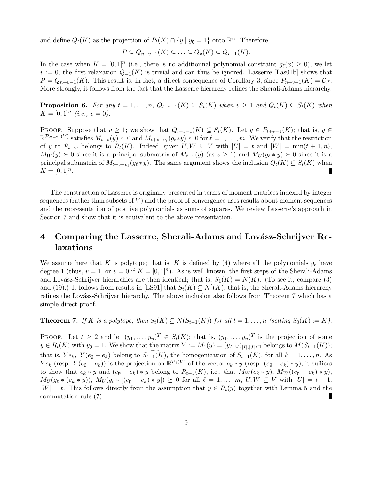and define  $Q_t(K)$  as the projection of  $P_t(K) \cap \{y \mid y_{\emptyset} = 1\}$  onto  $\mathbb{R}^n$ . Therefore,

$$
P \subseteq Q_{n+v-1}(K) \subseteq \ldots \subseteq Q_v(K) \subseteq Q_{v-1}(K).
$$

In the case when  $K = [0, 1]^n$  (i.e., there is no additionnal polynomial constraint  $g_{\ell}(x) \geq 0$ ), we let  $v := 0$ ; the first relaxation  $Q_{-1}(K)$  is trivial and can thus be ignored. Lasserre [Las01b] shows that  $P = Q_{n+v-1}(K)$ . This result is, in fact, a direct consequence of Corollary 3, since  $P_{n+v-1}(K) = C_{\mathcal{J}}$ . More strongly, it follows from the fact that the Lasserre hierarchy refines the Sherali-Adams hierarchy.

**Proposition 6.** For any  $t = 1, \ldots, n$ ,  $Q_{t+v-1}(K) \subseteq S_t(K)$  when  $v \ge 1$  and  $Q_t(K) \subseteq S_t(K)$  when  $K = [0, 1]^n$  (i.e.,  $v = 0$ ).

PROOF. Suppose that  $v \geq 1$ ; we show that  $Q_{t+v-1}(K) \subseteq S_t(K)$ . Let  $y \in P_{t+v-1}(K)$ ; that is,  $y \in$  $\mathbb{R}^{\mathcal{P}_{2t+2v}(V)}$  satisfies  $M_{t+v}(y) \succeq 0$  and  $M_{t+v-v_{\ell}}(g_{\ell}*y) \succeq 0$  for  $\ell = 1,\ldots,m$ . We verify that the restriction of y to  $\mathcal{P}_{t+w}$  belongs to  $R_t(K)$ . Indeed, given  $U, W \subseteq V$  with  $|U| = t$  and  $|W| = \min(t + 1, n)$ ,  $M_W(y) \succeq 0$  since it is a principal submatrix of  $M_{t+v}(y)$  (as  $v \ge 1$ ) and  $M_U(g_\ell * y) \succeq 0$  since it is a principal submatrix of  $M_{t+v-v} (g_\ell * y)$ . The same argument shows the inclusion  $Q_t(K) \subseteq S_t(K)$  when  $K = [0, 1]^n$ . н

The construction of Lasserre is originally presented in terms of moment matrices indexed by integer sequences (rather than subsets of  $V$ ) and the proof of convergence uses results about moment sequences and the representation of positive polynomials as sums of squares. We review Lasserre's approach in Section 7 and show that it is equivalent to the above presentation.

# 4 Comparing the Lasserre, Sherali-Adams and Lovász-Schrijver Re**laxations**

We assume here that K is polytope; that is, K is defined by (4) where all the polynomials  $g_\ell$  have degree 1 (thus,  $v = 1$ , or  $v = 0$  if  $K = [0, 1]^n$ ). As is well known, the first steps of the Sherali-Adams and Lovász-Schrijver hierarchies are then identical; that is,  $S_1(K) = N(K)$ . (To see it, compare (3) and (19).) It follows from results in [LS91] that  $S_t(K) \subseteq N^t(K)$ ; that is, the Sherali-Adams hierarchy refines the Lovász-Schrijver hierarchy. The above inclusion also follows from Theorem 7 which has a simple direct proof.

**Theorem 7.** If K is a polytope, then  $S_t(K) \subseteq N(S_{t-1}(K))$  for all  $t = 1, \ldots, n$  (setting  $S_0(K) := K$ ).

PROOF. Let  $t \geq 2$  and let  $(y_1,\ldots,y_n)^T \in S_t(K)$ ; that is,  $(y_1,\ldots,y_n)^T$  is the projection of some  $y \in R_t(K)$  with  $y_{\emptyset} = 1$ . We show that the matrix  $Y := M_1(y) = (y_{I \cup J})_{|I|,|J| \leq 1}$  belongs to  $M(S_{t-1}(K))$ ; that is,  $Ye_k$ ,  $Y(e_\emptyset - e_k)$  belong to  $S_{t-1}(K)$ , the homogenization of  $S_{t-1}(K)$ , for all  $k = 1, \ldots, n$ . As  $Ye_k$  (resp.  $Y(e_0 - e_k)$ ) is the projection on  $\mathbb{R}^{\mathcal{P}_1(V)}$  of the vector  $e_k * y$  (resp.  $(e_0 - e_k) * y$ ), it suffices to show that  $e_k * y$  and  $(e_{\emptyset} - e_k) * y$  belong to  $R_{t-1}(K)$ , i.e., that  $M_W(e_k * y)$ ,  $M_W((e_{\emptyset} - e_k) * y)$ ,  $M_U(g_\ell * (e_k * y)), M_U(g_\ell * [(e_{\emptyset} - e_k) * y]) \succeq 0$  for all  $\ell = 1,\ldots,m, U, W \subseteq V$  with  $|U| = t - 1$ ,  $|W| = t$ . This follows directly from the assumption that  $y \in R_t(y)$  together with Lemma 5 and the commutation rule (7).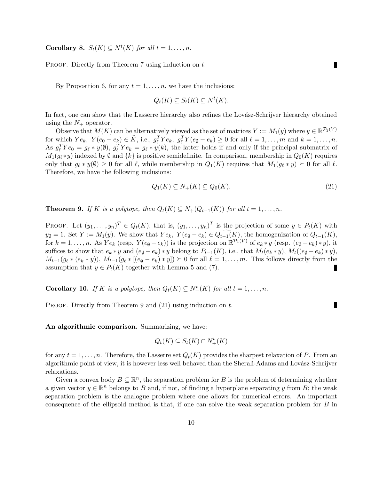**Corollary 8.**  $S_t(K) \subseteq N^t(K)$  for all  $t = 1, ..., n$ .

PROOF. Directly from Theorem 7 using induction on t.

By Proposition 6, for any  $t = 1, \ldots, n$ , we have the inclusions:

$$
Q_t(K) \subseteq S_t(K) \subseteq N^t(K).
$$

In fact, one can show that the Lasserre hierarchy also refines the Lovász-Schrijver hierarchy obtained using the  $N_{+}$  operator.

Observe that  $M(K)$  can be alternatively viewed as the set of matrices  $Y := M_1(y)$  where  $y \in \mathbb{R}^{\mathcal{P}_2(V)}$ for which  $Ye_k$ ,  $Y(e_0 - e_k) \in \tilde{K}$ , i.e.,  $g_{\ell}^T Y e_k$ ,  $g_{\ell}^T Y(e_{\emptyset} - e_k) \ge 0$  for all  $\ell = 1, ..., m$  and  $k = 1, ..., n$ . As  $g_{\ell}^T Y e_0 = g_{\ell} * y(\ell), g_{\ell}^T Y e_k = g_{\ell} * y(k)$ , the latter holds if and only if the principal submatrix of  $M_1(g_\ell * y)$  indexed by  $\emptyset$  and  $\{k\}$  is positive semidefinite. In comparison, membership in  $Q_0(K)$  requires only that  $g_\ell * y(\emptyset) \geq 0$  for all  $\ell$ , while membership in  $Q_1(K)$  requires that  $M_1(g_\ell * y) \succeq 0$  for all  $\ell$ . Therefore, we have the following inclusions:

$$
Q_1(K) \subseteq N_+(K) \subseteq Q_0(K). \tag{21}
$$

**Theorem 9.** If K is a polytope, then  $Q_t(K) \subseteq N_+(Q_{t-1}(K))$  for all  $t = 1, \ldots, n$ .

PROOF. Let  $(y_1,\ldots,y_n)^T \in Q_t(K)$ ; that is,  $(y_1,\ldots,y_n)^T$  is the projection of some  $y \in P_t(K)$  with  $y_{\emptyset} = 1$ . Set  $Y := M_1(y)$ . We show that  $Ye_k$ ,  $Y(e_{\emptyset} - e_k) \in Q_{t-1}(K)$ , the homogenization of  $Q_{t-1}(K)$ , for  $k = 1, \ldots, n$ . As  $Y e_k$  (resp.  $Y(e_{\emptyset} - e_k)$ ) is the projection on  $\mathbb{R}^{\mathcal{P}_1(V)}$  of  $e_k * y$  (resp.  $(e_{\emptyset} - e_k) * y$ ), it suffices to show that  $e_k * y$  and  $(e_{\emptyset} - e_k) * y$  belong to  $P_{t-1}(K)$ , i.e., that  $M_t(e_k * y)$ ,  $M_t((e_{\emptyset} - e_k) * y)$ ,  $M_{t-1}(g_{\ell} * (e_k * y)), M_{t-1}(g_{\ell} * [(e_{\emptyset} - e_k) * y]) \succeq 0$  for all  $\ell = 1,\ldots,m$ . This follows directly from the assumption that  $y \in P_t(K)$  together with Lemma 5 and (7).

**Corollary 10.** If K is a polytope, then  $Q_t(K) \subseteq N^t_+(K)$  for all  $t = 1, ..., n$ .

PROOF. Directly from Theorem 9 and  $(21)$  using induction on t.

**An algorithmic comparison.** Summarizing, we have:

$$
Q_t(K) \subseteq S_t(K) \cap N^t_+(K)
$$

for any  $t = 1, \ldots, n$ . Therefore, the Lasserre set  $Q_t(K)$  provides the sharpest relaxation of P. From an algorithmic point of view, it is however less well behaved than the Sherali-Adams and Lovász-Schrijver relaxations.

Given a convex body  $B \subseteq \mathbb{R}^n$ , the separation problem for B is the problem of determining whether a given vector  $y \in \mathbb{R}^n$  belongs to B and, if not, of finding a hyperplane separating y from B; the weak separation problem is the analogue problem where one allows for numerical errors. An important consequence of the ellipsoid method is that, if one can solve the weak separation problem for B in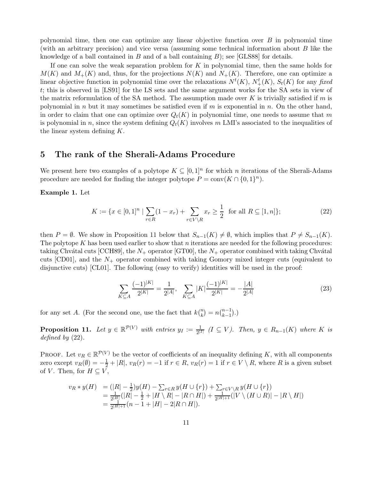polynomial time, then one can optimize any linear objective function over  $B$  in polynomial time (with an arbitrary precision) and vice versa (assuming some technical information about B like the knowledge of a ball contained in  $B$  and of a ball containing  $B$ ); see [GLS88] for details.

If one can solve the weak separation problem for  $K$  in polynomial time, then the same holds for  $M(K)$  and  $M_{+}(K)$  and, thus, for the projections  $N(K)$  and  $N_{+}(K)$ . Therefore, one can optimize a linear objective function in polynomial time over the relaxations  $N^t(K)$ ,  $N^t_+(K)$ ,  $S_t(K)$  for any fixed t; this is observed in [LS91] for the LS sets and the same argument works for the SA sets in view of the matrix reformulation of the SA method. The assumption made over K is trivially satisfied if m is polynomial in n but it may sometimes be satisfied even if m is exponential in n. On the other hand, in order to claim that one can optimize over  $Q_t(K)$  in polynomial time, one needs to assume that m is polynomial in n, since the system defining  $Q_t(K)$  involves m LMI's associated to the inequalities of the linear system defining K.

### **5 The rank of the Sherali-Adams Procedure**

We present here two examples of a polytope  $K \subseteq [0,1]^n$  for which n iterations of the Sherali-Adams procedure are needed for finding the integer polytope  $P = \text{conv}(K \cap \{0,1\}^n)$ .

**Example 1.** Let

$$
K := \{ x \in [0,1]^n \mid \sum_{r \in R} (1 - x_r) + \sum_{r \in V \setminus R} x_r \ge \frac{1}{2} \text{ for all } R \subseteq [1,n] \};\tag{22}
$$

then  $P = \emptyset$ . We show in Proposition 11 below that  $S_{n-1}(K) \neq \emptyset$ , which implies that  $P \neq S_{n-1}(K)$ . The polytope  $K$  has been used earlier to show that n iterations are needed for the following procedures: taking Chvátal cuts [CCH89], the  $N_+$  operator [GT00], the  $N_+$  operator combined with taking Chvátal cuts [CD01], and the  $N_{+}$  operator combined with taking Gomory mixed integer cuts (equivalent to disjunctive cuts) [CL01]. The following (easy to verify) identities will be used in the proof:

$$
\sum_{K \subseteq A} \frac{(-1)^{|K|}}{2^{|K|}} = \frac{1}{2^{|A|}}, \quad \sum_{K \subseteq A} |K| \frac{(-1)^{|K|}}{2^{|K|}} = -\frac{|A|}{2^{|A|}} \tag{23}
$$

for any set A. (For the second one, use the fact that  $k\binom{n}{k} = n\binom{n-1}{k-1}$ .)

**Proposition 11.** Let  $y \in \mathbb{R}^{\mathcal{P}(V)}$  with entries  $y_I := \frac{1}{2^{|I|}} (I \subseteq V)$ . Then,  $y \in R_{n-1}(K)$  where K is defined by (22).

PROOF. Let  $v_R \in \mathbb{R}^{\mathcal{P}(V)}$  be the vector of coefficients of an inequality defining K, with all components zero except  $v_R(\emptyset) = -\frac{1}{2} + |R|$ ,  $v_R(r) = -1$  if  $r \in R$ ,  $v_R(r) = 1$  if  $r \in V \setminus R$ , where R is a given subset of V. Then, for  $H \subseteq V$ ,

$$
v_R * y(H) = (|R| - \frac{1}{2})y(H) - \sum_{r \in R} y(H \cup \{r\}) + \sum_{r \in V \backslash R} y(H \cup \{r\})
$$
  
= 
$$
\frac{1}{2^{|H|}}(|R| - \frac{1}{2} + |H \setminus R| - |R \cap H|) + \frac{1}{2^{|H|+1}}(|V \setminus (H \cup R)| - |R \setminus H|)
$$
  
= 
$$
\frac{1}{2^{|H|+1}}(n - 1 + |H| - 2|R \cap H|).
$$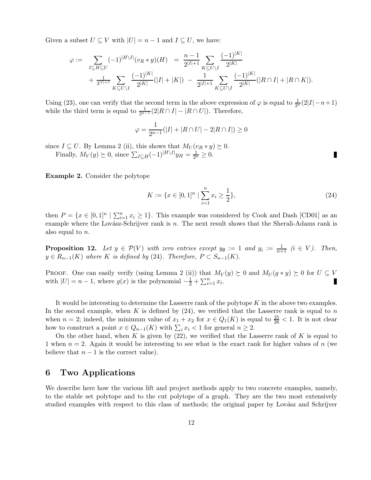Given a subset  $U \subseteq V$  with  $|U| = n - 1$  and  $I \subseteq U$ , we have:

$$
\varphi := \sum_{I \subseteq H \subseteq U} (-1)^{|H \setminus I|} (v_R * y)(H) = \frac{n-1}{2^{|I|+1}} \sum_{K \subseteq U \setminus I} \frac{(-1)^{|K|}}{2^{|K|}} + \frac{1}{2^{|I|+1}} \sum_{K \subseteq U \setminus I} \frac{(-1)^{|K|}}{2^{|K|}} (|I| + |K|) - \frac{1}{2^{|I|+1}} \sum_{K \subseteq U \setminus I} \frac{(-1)^{|K|}}{2^{|K|}} (|R \cap I| + |R \cap K|).
$$

Using (23), one can verify that the second term in the above expression of  $\varphi$  is equal to  $\frac{1}{2^n}(2|I|-n+1)$ while the third term is equal to  $\frac{1}{2^{n-1}}(2|R \cap I|-|R \cap U|)$ . Therefore,

$$
\varphi = \frac{1}{2^{n-1}}(|I| + |R \cap U| - 2|R \cap I|) \ge 0
$$

since  $I \subseteq U$ . By Lemma 2 (ii), this shows that  $M_U(v_R * y) \succeq 0$ .

Finally,  $M_V(y) \succeq 0$ , since  $\sum_{I \subseteq H} (-1)^{|H \setminus I|} y_H = \frac{1}{2^n} \geq 0$ .

**Example 2.** Consider the polytope

$$
K := \{ x \in [0,1]^n \mid \sum_{i=1}^n x_i \ge \frac{1}{2} \},\tag{24}
$$

п

then  $P = \{x \in [0,1]^n \mid \sum_{i=1}^n x_i \ge 1\}$ . This example was considered by Cook and Dash [CD01] as an example where the Lovász-Schrijver rank is  $n$ . The next result shows that the Sherali-Adams rank is also equal to n.

**Proposition 12.** Let  $y \in \mathcal{P}(V)$  with zero entries except  $y_{\emptyset} := 1$  and  $y_i := \frac{1}{n+1}$   $(i \in V)$ . Then,  $y \in R_{n-1}(K)$  where K is defined by (24). Therefore,  $P \subset S_{n-1}(K)$ .

PROOF. One can easily verify (using Lemma 2 (ii)) that  $M_V(y) \succeq 0$  and  $M_U(g * y) \succeq 0$  for  $U \subseteq V$ with  $|U| = n - 1$ , where  $g(x)$  is the polynomial  $-\frac{1}{2} + \sum_{i=1}^{n} x_i$ . П

It would be interesting to determine the Lasserre rank of the polytope  $K$  in the above two examples. In the second example, when K is defined by  $(24)$ , we verified that the Lasserre rank is equal to n when  $n = 2$ ; indeed, the minimum value of  $x_1 + x_2$  for  $x \in Q_1(K)$  is equal to  $\frac{25}{26} < 1$ . It is not clear how to construct a point  $x \in Q_{n-1}(K)$  with  $\sum_i x_i < 1$  for general  $n \geq 2$ .

On the other hand, when K is given by  $(22)$ , we verified that the Lasserre rank of K is equal to 1 when  $n = 2$ . Again it would be interesting to see what is the exact rank for higher values of n (we believe that  $n-1$  is the correct value).

## **6 Two Applications**

We describe here how the various lift and project methods apply to two concrete examples, namely, to the stable set polytope and to the cut polytope of a graph. They are the two most extensively studied examples with respect to this class of methods; the original paper by Lovász and Schrijver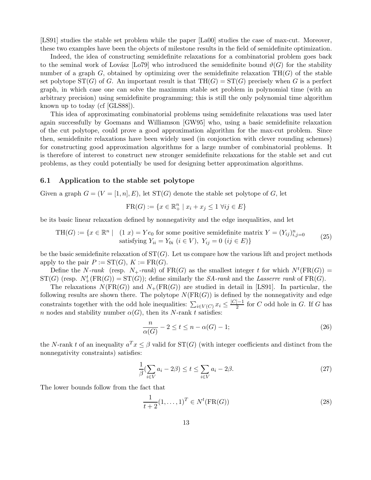[LS91] studies the stable set problem while the paper [La00] studies the case of max-cut. Moreover, these two examples have been the objects of milestone results in the field of semidefinite optimization.

Indeed, the idea of constructing semidefinite relaxations for a combinatorial problem goes back to the seminal work of Lovász [Lo79] who introduced the semidefinite bound  $\vartheta(G)$  for the stability number of a graph G, obtained by optimizing over the semidefinite relaxation  $TH(G)$  of the stable set polytope  $ST(G)$  of G. An important result is that  $TH(G) = ST(G)$  precisely when G is a perfect graph, in which case one can solve the maximum stable set problem in polynomial time (with an arbitrary precision) using semidefinite programming; this is still the only polynomial time algorithm known up to today (cf [GLS88]).

This idea of approximating combinatorial problems using semidefinite relaxations was used later again successfully by Goemans and Williamson [GW95] who, using a basic semidefinite relaxation of the cut polytope, could prove a good approximation algorithm for the max-cut problem. Since then, semidefinite relaxations have been widely used (in conjonction with clever rounding schemes) for constructing good approximation algorithms for a large number of combinatorial problems. It is therefore of interest to construct new stronger semidefinite relaxations for the stable set and cut problems, as they could potentially be used for designing better approximation algorithms.

### **6.1 Application to the stable set polytope**

Given a graph  $G = (V = [1, n], E)$ , let  $ST(G)$  denote the stable set polytope of G, let

$$
FR(G) := \{ x \in \mathbb{R}_+^n \mid x_i + x_j \le 1 \ \forall ij \in E \}
$$

be its basic linear relaxation defined by nonnegativity and the edge inequalities, and let

$$
\text{TH}(G) := \{ x \in \mathbb{R}^n \mid (1 \ x) = Ye_0 \text{ for some positive semidefinite matrix } Y = (Y_{ij})_{i,j=0}^n \text{ satisfying } Y_{ii} = Y_{0i} \ (i \in V), \ Y_{ij} = 0 \ (ij \in E) \}
$$
\n
$$
(25)
$$

be the basic semidefinite relaxation of  $ST(G)$ . Let us compare how the various lift and project methods apply to the pair  $P := \mathrm{ST}(G)$ ,  $K := \mathrm{FR}(G)$ .

Define the N-rank (resp. N<sub>+</sub>-rank) of  $FR(G)$  as the smallest integer t for which  $N^{t}(FR(G))$  =  $ST(G)$  (resp.  $N_{+}^{t}(FR(G)) = ST(G)$ ); define similarly the *SA-rank* and the *Lasserre rank* of  $FR(G)$ .

The relaxations  $N(FR(G))$  and  $N_+(FR(G))$  are studied in detail in [LS91]. In particular, the following results are shown there. The polytope  $N(FR(G))$  is defined by the nonnegativity and edge constraints together with the odd hole inequalities:  $\sum_{i\in V(C)} x_i \leq \frac{|C|-1}{2}$  for C odd hole in G. If G has n nodes and stability number  $\alpha(G)$ , then its N-rank t satisfies:

$$
\frac{n}{\alpha(G)} - 2 \le t \le n - \alpha(G) - 1; \tag{26}
$$

the N-rank t of an inequality  $a^T x \leq \beta$  valid for  $ST(G)$  (with integer coefficients and distinct from the nonnegativity constraints) satisfies:

$$
\frac{1}{\beta}(\sum_{i\in V} a_i - 2\beta) \le t \le \sum_{i\in V} a_i - 2\beta. \tag{27}
$$

The lower bounds follow from the fact that

$$
\frac{1}{t+2}(1,\ldots,1)^T \in N^t(\text{FR}(G))
$$
\n
$$
(28)
$$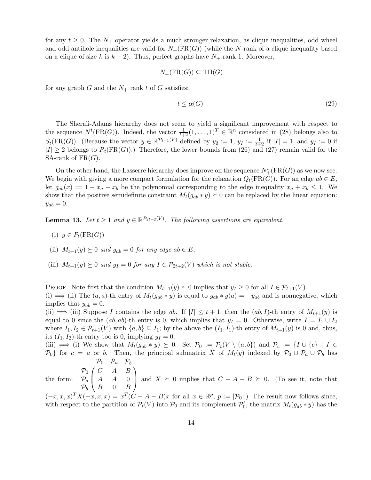for any  $t \geq 0$ . The  $N_{+}$  operator yields a much stronger relaxation, as clique inequalities, odd wheel and odd antihole inequalities are valid for  $N_{+}(\text{FR}(G))$  (while the N-rank of a clique inequality based on a clique of size k is  $k - 2$ ). Thus, perfect graphs have  $N_{+}$ -rank 1. Moreover,

$$
N_{+}(\text{FR}(G)) \subseteq \text{TH}(G)
$$

for any graph G and the  $N_+$  rank t of G satisfies:

$$
t \le \alpha(G). \tag{29}
$$

The Sherali-Adams hierarchy does not seem to yield a significant improvement with respect to the sequence  $N^t(\text{FR}(G))$ . Indeed, the vector  $\frac{1}{t+2}(1,\ldots,1)^T \in \mathbb{R}^n$  considered in (28) belongs also to  $S_t(\text{FR}(G))$ . (Because the vector  $y \in \mathbb{R}^{p_{t+1}(V)}$  defined by  $y_{\emptyset} := 1$ ,  $y_I := \frac{1}{t+2}$  if  $|I| = 1$ , and  $y_I := 0$  if  $|I| \geq 2$  belongs to  $R_t(\text{FR}(G))$ .) Therefore, the lower bounds from (26) and (27) remain valid for the SA-rank of  $FR(G)$ .

On the other hand, the Lasserre hierarchy does improve on the sequence  $N_{+}^{t}(\text{FR}(G))$  as we now see. We begin with giving a more compact formulation for the relaxation  $Q_t(\text{FR}(G))$ . For an edge  $ab \in E$ , let  $g_{ab}(x) := 1 - x_a - x_b$  be the polynomial corresponding to the edge inequality  $x_a + x_b \leq 1$ . We show that the positive semidefinite constraint  $M_t(g_{ab} * y) \succeq 0$  can be replaced by the linear equation:  $y_{ab}=0.$ 

**Lemma 13.** Let  $t \geq 1$  and  $y \in \mathbb{R}^{p_{2t+2}(V)}$ . The following assertions are equivalent.

- (i)  $y \in P_t(\text{FR}(G))$
- (ii)  $M_{t+1}(y) \succeq 0$  and  $y_{ab} = 0$  for any edge ab  $\in E$ .
- (iii)  $M_{t+1}(y) \succeq 0$  and  $y_I = 0$  for any  $I \in \mathcal{P}_{2t+2}(V)$  which is not stable.

PROOF. Note first that the condition  $M_{t+1}(y) \succeq 0$  implies that  $y_I \geq 0$  for all  $I \in \mathcal{P}_{t+1}(V)$ .

(i)  $\implies$  (ii) The  $(a, a)$ -th entry of  $M_t(g_{ab} * y)$  is equal to  $g_{ab} * y(a) = -y_{ab}$  and is nonnegative, which implies that  $y_{ab} = 0$ .

(ii)  $\implies$  (iii) Suppose I contains the edge ab. If  $|I| \leq t+1$ , then the  $(ab, I)$ -th entry of  $M_{t+1}(y)$  is equal to 0 since the  $(ab, ab)$ -th entry is 0, which implies that  $y_I = 0$ . Otherwise, write  $I = I_1 \cup I_2$ where  $I_1, I_2 \in \mathcal{P}_{t+1}(V)$  with  $\{a, b\} \subseteq I_1$ ; by the above the  $(I_1, I_1)$ -th entry of  $M_{t+1}(y)$  is 0 and, thus, its  $(I_1, I_2)$ -th entry too is 0, implying  $y_I = 0$ .

(iii)  $\implies$  (i) We show that  $M_t(g_{ab}*y) \succeq 0$ . Set  $\mathcal{P}_0 := \mathcal{P}_t(V \setminus \{a,b\})$  and  $\mathcal{P}_c := \{I \cup \{c\} \mid I \in$  $\mathcal{P}_0$  for  $c = a$  or b. Then, the principal submatrix X of  $M_t(y)$  indexed by  $\mathcal{P}_0 \cup \mathcal{P}_a \cup \mathcal{P}_b$  has  $P_0$   $P_a$   $P_b$ 

$$
\mathcal{P}_0 \left( \begin{array}{ccc} & \circ & \circ & \circ \\ C & A & B \end{array} \right)
$$

the form:  $\overline{ }$  $\mathcal{P}_a$  | A A 0  $\mathcal{P}_b$   $\left\{ B \quad 0 \quad B \right\}$ and  $X \succeq 0$  implies that  $C - A - B \succeq 0$ . (To see it, note that

 $(-x,x,x)^T X(-x,x,x) = x^T (C-A-B)x$  for all  $x \in \mathbb{R}^p$ ,  $p := |\mathcal{P}_0|$ . The result now follows since, with respect to the partition of  $\mathcal{P}_t(V)$  into  $\mathcal{P}_0$  and its complement  $\mathcal{P}'_0$ , the matrix  $M_t(g_{ab} * y)$  has the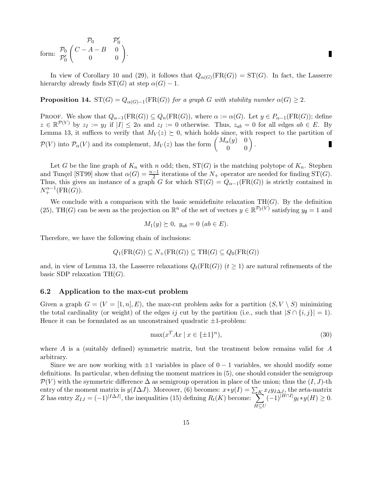$$
\text{form: } \begin{array}{c} \mathcal{P}_0 & \mathcal{P}'_0 \\ \mathcal{P}'_0 \begin{pmatrix} C - A - B & 0 \\ 0 & 0 \end{pmatrix} \end{array} \end{array} \blacksquare
$$

In view of Corollary 10 and (29), it follows that  $Q_{\alpha(G)}(FR(G)) = ST(G)$ . In fact, the Lasserre hierarchy already finds  $ST(G)$  at step  $\alpha(G) - 1$ .

**Proposition 14.**  $ST(G) = Q_{\alpha(G)-1}(FR(G))$  for a graph G with stability number  $\alpha(G) \geq 2$ .

PROOF. We show that  $Q_{\alpha-1}(FR(G)) \subseteq Q_n(FR(G))$ , where  $\alpha := \alpha(G)$ . Let  $y \in P_{\alpha-1}(FR(G))$ ; define  $z \in \mathbb{R}^{\mathcal{P}(V)}$  by  $z_I := y_I$  if  $|I| \leq 2\alpha$  and  $z_I := 0$  otherwise. Thus,  $z_{ab} = 0$  for all edges  $ab \in E$ . By Lemma 13, it suffices to verify that  $M_V(z) \succeq 0$ , which holds since, with respect to the partition of  $\mathcal{P}(V)$  into  $\mathcal{P}_{\alpha}(V)$  and its complement,  $M_V(z)$  has the form  $\begin{pmatrix} M_{\alpha}(y) & 0 \\ 0 & 0 \end{pmatrix}$ . Г

Let G be the line graph of  $K_n$  with n odd; then,  $ST(G)$  is the matching polytope of  $K_n$ . Stephen and Tunçel [ST99] show that  $\alpha(G) = \frac{n-1}{2}$  iterations of the  $N_+$  operator are needed for finding ST(G). Thus, this gives an instance of a graph G for which  $ST(G) = Q_{\alpha-1}(FR(G))$  is strictly contained in  $N_{+}^{\alpha-1}(\text{FR}(G)).$ 

We conclude with a comparison with the basic semidefinite relaxation  $TH(G)$ . By the definition (25), TH(G) can be seen as the projection on  $\mathbb{R}^n$  of the set of vectors  $y \in \mathbb{R}^{\mathcal{P}_2(V)}$  satisfying  $y_{\emptyset} = 1$  and

$$
M_1(y) \geq 0
$$
,  $y_{ab} = 0$  ( $ab \in E$ ).

Therefore, we have the following chain of inclusions:

$$
Q_1(\text{FR}(G)) \subseteq N_+(\text{FR}(G)) \subseteq \text{TH}(G) \subseteq Q_0(\text{FR}(G))
$$

and, in view of Lemma 13, the Lasserre relaxations  $Q_t(FR(G))$   $(t \geq 1)$  are natural refinements of the basic SDP relaxation  $TH(G)$ .

### **6.2 Application to the max-cut problem**

Given a graph  $G = (V = [1, n], E)$ , the max-cut problem asks for a partition  $(S, V \setminus S)$  minimizing the total cardinality (or weight) of the edges ij cut by the partition (i.e., such that  $|S \cap \{i, j\}| = 1$ ). Hence it can be formulated as an unconstrained quadratic  $\pm 1$ -problem:

$$
\max(x^T A x \mid x \in \{\pm 1\}^n),\tag{30}
$$

where A is a (suitably defined) symmetric matrix, but the treatment below remains valid for  $A$ arbitrary.

Since we are now working with  $\pm 1$  variables in place of  $0 - 1$  variables, we should modify some definitions. In particular, when defining the moment matrices in (5), one should consider the semigroup  $\mathcal{P}(V)$  with the symmetric difference  $\Delta$  as semigroup operation in place of the union; thus the  $(I, J)$ -th entry of the moment matrix is  $y(I\Delta J)$ . Moreover, (6) becomes:  $x*y(I)=\sum_K x_Iy_{I\Delta J}$ , the zeta-matrix Z has entry  $Z_{IJ} = (-1)^{|I \triangle J|}$ , the inequalities (15) defining  $R_t(K)$  become:  $\sum$  $H{\subseteq}U$  $(-1)^{|H \cap I|} g_{\ell} * y(H) \geq 0.$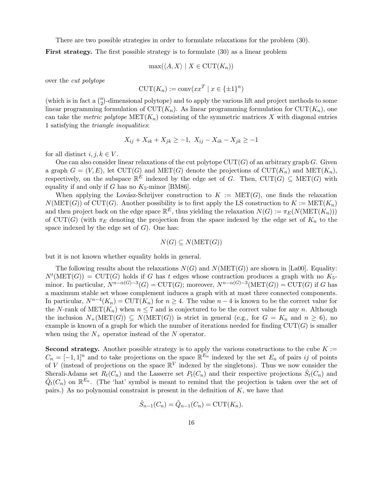There are two possible strategies in order to formulate relaxations for the problem (30).

**First strategy.** The first possible strategy is to formulate (30) as a linear problem

$$
\max(\langle A, X \rangle \mid X \in \text{CUT}(K_n))
$$

over the cut polytope

$$
CUT(K_n) := \text{conv}(xx^T \mid x \in \{\pm 1\}^n)
$$

(which is in fact a  $\binom{n}{2}$ -dimensional polytope) and to apply the various lift and project methods to some linear programming formulation of  $\text{CUT}(K_n)$ . As linear programming formulation for  $\text{CUT}(K_n)$ , one can take the metric polytope  $\text{MET}(K_n)$  consisting of the symmetric matrices X with diagonal entries 1 satisfying the triangle inequalities:

$$
X_{ij} + X_{ik} + X_{jk} \ge -1, \ X_{ij} - X_{ik} - X_{jk} \ge -1
$$

for all distinct  $i, j, k \in V$ .

One can also consider linear relaxations of the cut polytope  $\text{CUT}(G)$  of an arbitrary graph G. Given a graph  $G = (V, E)$ , let CUT(G) and MET(G) denote the projections of CUT( $K_n$ ) and MET( $K_n$ ), respectively, on the subspace  $\mathbb{R}^E$  indexed by the edge set of G. Then, CUT(G)  $\subseteq$  MET(G) with equality if and only if G has no  $K_5$ -minor [BM86].

When applying the Lovász-Schrijver construction to  $K := \text{MET}(G)$ , one finds the relaxation  $N(MET(G))$  of CUT(G). Another possibility is to first apply the LS construction to  $K := MET(K_n)$ and then project back on the edge space  $\mathbb{R}^E$ , thus yielding the relaxation  $N(G) := \pi_E(N(\text{MET}(K_n)))$ of CUT(G) (with  $\pi_E$  denoting the projection from the space indexed by the edge set of  $K_n$  to the space indexed by the edge set of  $G$ ). One has:

$$
N(G) \subseteq N(\text{MET}(G))
$$

but it is not known whether equality holds in general.

The following results about the relaxations  $N(G)$  and  $N(MET(G))$  are shown in [La00]. Equality:  $N^{t}(\text{MET}(G)) = \text{CUT}(G)$  holds if G has t edges whose contraction produces a graph with no  $K_5$ minor. In particular,  $N^{n-\alpha(G)-3}(G) = \text{CUT}(G)$ ; moreover,  $N^{n-\alpha(G)-3}(\text{MET}(G)) = \text{CUT}(G)$  if G has a maximum stable set whose complement induces a graph with at most three connected components. In particular,  $N^{n-4}(K_n) = \text{CUT}(K_n)$  for  $n \geq 4$ . The value  $n-4$  is known to be the correct value for the N-rank of  $MET(K_n)$  when  $n \leq 7$  and is conjectured to be the correct value for any n. Although the inclusion  $N_+(\text{MET}(G)) \subseteq N(\text{MET}(G))$  is strict in general (e.g., for  $G = K_n$  and  $n \geq 6$ ), no example is known of a graph for which the number of iterations needed for finding  $CUT(G)$  is smaller when using the  $N_+$  operator instead of the N operator.

**Second strategy.** Another possible strategy is to apply the various constructions to the cube  $K :=$  $C_n = [-1,1]^n$  and to take projections on the space  $\mathbb{R}^{E_n}$  indexed by the set  $E_n$  of pairs ij of points of V (instead of projections on the space  $\mathbb{R}^V$  indexed by the singletons). Thus we now consider the Sherali-Adams set  $R_t(C_n)$  and the Lasserre set  $P_t(C_n)$  and their respective projections  $\hat{S}_t(C_n)$  and  $\hat{Q}_t(C_n)$  on  $\mathbb{R}^{E_n}$ . (The 'hat' symbol is meant to remind that the projection is taken over the set of pairs.) As no polynomial constraint is present in the definition of  $K$ , we have that

$$
\hat{S}_{n-1}(C_n) = \hat{Q}_{n-1}(C_n) = \text{CUT}(K_n).
$$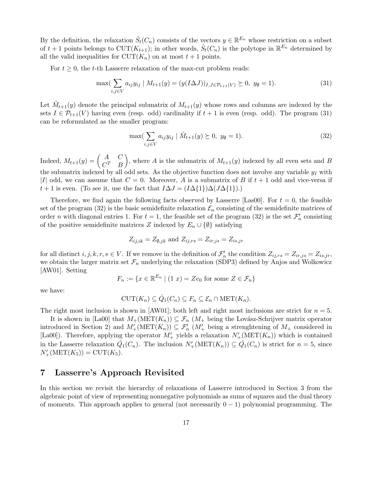By the definition, the relaxation  $\hat{S}_t(C_n)$  consists of the vectors  $y \in \mathbb{R}^{E_n}$  whose restriction on a subset of  $t + 1$  points belongs to  $CUT(K_{t+1})$ ; in other words,  $\hat{S}_t(C_n)$  is the polytope in  $\mathbb{R}^{E_n}$  determined by all the valid inequalities for  $CUT(K_n)$  on at most  $t+1$  points.

For  $t \geq 0$ , the t-th Lasserre relaxation of the max-cut problem reads:

$$
\max(\sum_{i,j \in V} a_{ij} y_{ij} \mid M_{t+1}(y) = (y(I\Delta J))_{I,J \in \mathcal{P}_{t+1}(V)} \ge 0, \ y_{\emptyset} = 1). \tag{31}
$$

Let  $\tilde{M}_{t+1}(y)$  denote the principal submatrix of  $M_{t+1}(y)$  whose rows and columns are indexed by the sets  $I \in \mathcal{P}_{t+1}(V)$  having even (resp. odd) cardinality if  $t+1$  is even (resp. odd). The program (31) can be reformulated as the smaller program:

$$
\max(\sum_{i,j \in V} a_{ij} y_{ij} \mid \tilde{M}_{t+1}(y) \succeq 0, \ y_{\emptyset} = 1).
$$
\n(32)

Indeed,  $M_{t+1}(y) = \begin{pmatrix} A & C \\ C^T & B \end{pmatrix}$ ), where A is the submatrix of  $M_{t+1}(y)$  indexed by all even sets and B the submatrix indexed by all odd sets. As the objective function does not involve any variable  $y<sub>I</sub>$  with |I| odd, we can assume that  $C = 0$ . Moreover, A is a submatrix of B if  $t + 1$  odd and vice-versa if  $t+1$  is even. (To see it, use the fact that  $I\Delta J = (I\Delta\{1\})\Delta(J\Delta\{1\}).$ )

Therefore, we find again the following facts observed by Lasserre [Las00]. For  $t = 0$ , the feasible set of the program (32) is the basic semidefinite relaxation  $\mathcal{E}_n$  consisting of the semidefinite matrices of order *n* with diagonal entries 1. For  $t = 1$ , the feasible set of the program (32) is the set  $\mathcal{F}'_n$  consisting of the positive semidefinite matrices Z indexed by  $E_n \cup \{\emptyset\}$  satisfying

$$
Z_{ij,ik} = Z_{\emptyset,jk} \text{ and } Z_{ij,rs} = Z_{ir,js} = Z_{is,jr}
$$

for all distinct  $i, j, k, r, s \in V$ . If we remove in the definition of  $\mathcal{F}'_n$  the condition  $Z_{ij,rs} = Z_{ir,js} = Z_{is,jr}$ , we obtain the larger matrix set  $\mathcal{F}_n$  underlying the relaxation (SDP3) defined by Anjos and Wolkowicz [AW01]. Setting

$$
F_n := \{ x \in \mathbb{R}^{E_n} \mid (1 \ x) = Ze_0 \text{ for some } Z \in \mathcal{F}_n \}
$$

we have:

$$
\mathrm{CUT}(K_n) \subseteq \hat{Q}_1(C_n) \subseteq F_n \subseteq \mathcal{E}_n \cap \mathrm{MET}(K_n).
$$

The right most inclusion is shown in [AW01]; both left and right most inclusions are strict for  $n = 5$ .

It is shown in [La00] that  $M_+(\text{MET}(K_n)) \subseteq \mathcal{F}_n$  ( $M_+$  being the Lovász-Schrijver matrix operator introduced in Section 2) and  $M'_{+}(\text{MET}(K_n)) \subseteq \mathcal{F}'_n$  ( $M'_{+}$  being a strenghtening of  $M_{+}$  considered in [La00]). Therefore, applying the operator  $M'_{+}$  yields a relaxation  $N'_{+}(\text{MET}(K_n))$  which is contained in the Lasserre relaxation  $\hat{Q}_1(C_n)$ . The inclusion  $N'_{+}(\text{MET}(K_n)) \subseteq \hat{Q}_1(C_n)$  is strict for  $n = 5$ , since  $N'_{+}(\text{MET}(K_{5})) = \text{CUT}(K_{5}).$ 

# **7 Lasserre's Approach Revisited**

In this section we revisit the hierarchy of relaxations of Lasserre introduced in Section 3 from the algebraic point of view of representing nonnegative polynomials as sums of squares and the dual theory of moments. This approach applies to general (not necessarily  $0 - 1$ ) polynomial programming. The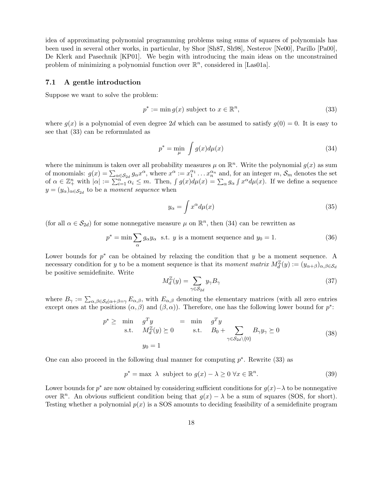idea of approximating polynomial programming problems using sums of squares of polynomials has been used in several other works, in particular, by Shor [Sh87, Sh98], Nesterov [Ne00], Parillo [Pa00], De Klerk and Pasechnik [KP01]. We begin with introducing the main ideas on the unconstrained problem of minimizing a polynomial function over  $\mathbb{R}^n$ , considered in [Las01a].

#### **7.1 A gentle introduction**

Suppose we want to solve the problem:

$$
p^* := \min g(x) \text{ subject to } x \in \mathbb{R}^n,
$$
\n(33)

where  $g(x)$  is a polynomial of even degree 2d which can be assumed to satisfy  $g(0) = 0$ . It is easy to see that (33) can be reformulated as

$$
p^* = \min_{\mu} \int g(x) d\mu(x) \tag{34}
$$

where the minimum is taken over all probability measures  $\mu$  on  $\mathbb{R}^n$ . Write the polynomial  $g(x)$  as sum of monomials:  $g(x) = \sum_{\alpha \in \mathcal{S}_{2d}} g_{\alpha} x^{\alpha}$ , where  $x^{\alpha} := x_1^{\alpha_1} \dots x_n^{\alpha_n}$  and, for an integer  $m, \mathcal{S}_m$  denotes the set of  $\alpha \in \mathbb{Z}_{+}^{n}$  with  $|\alpha| := \sum_{i=1}^{n} \alpha_{i} \leq m$ . Then,  $\int g(x) d\mu(x) = \sum_{\alpha} g_{\alpha} \int x^{\alpha} d\mu(x)$ . If we define a sequence  $y = (y_{\alpha})_{\alpha \in \mathcal{S}_{2d}}$  to be a moment sequence when

$$
y_{\alpha} = \int x^{\alpha} d\mu(x) \tag{35}
$$

(for all  $\alpha \in S_{2d}$ ) for some nonnegative measure  $\mu$  on  $\mathbb{R}^n$ , then (34) can be rewritten as

$$
p^* = \min \sum_{\alpha} g_{\alpha} y_{\alpha} \text{ s.t. } y \text{ is a moment sequence and } y_0 = 1. \tag{36}
$$

Lower bounds for  $p^*$  can be obtained by relaxing the condition that y be a moment sequence. A necessary condition for y to be a moment sequence is that its moment matrix  $M_d^{\mathbb{Z}}(y) := (y_{\alpha+\beta})_{\alpha,\beta \in \mathcal{S}_d}$ be positive semidefinite. Write

$$
M_d^{\mathbb{Z}}(y) = \sum_{\gamma \in \mathcal{S}_{2d}} y_{\gamma} B_{\gamma} \tag{37}
$$

where  $B_{\gamma} := \sum_{\alpha,\beta \in \mathcal{S}_d | \alpha + \beta = \gamma} E_{\alpha,\beta}$ , with  $E_{\alpha,\beta}$  denoting the elementary matrices (with all zero entries except ones at the positions  $(\alpha, \beta)$  and  $(\beta, \alpha)$ ). Therefore, one has the following lower bound for  $p^*$ :

$$
p^* \ge \min_{\text{s.t.}} \quad g^T y = \min_{M_d^{\mathbb{Z}}(y) \ge 0} = \min_{\text{s.t.}} \quad g^T y = \sum_{\gamma \in S_{2d} \setminus \{0\}} B_{\gamma} y_{\gamma} \ge 0
$$
\n
$$
y_0 = 1 \tag{38}
$$

One can also proceed in the following dual manner for computing  $p^*$ . Rewrite (33) as

$$
p^* = \max \ \lambda \ \ \text{subject to} \ g(x) - \lambda \ge 0 \ \forall x \in \mathbb{R}^n. \tag{39}
$$

Lower bounds for  $p^*$  are now obtained by considering sufficient conditions for  $g(x)$  –  $\lambda$  to be nonnegative over  $\mathbb{R}^n$ . An obvious sufficient condition being that  $g(x) - \lambda$  be a sum of squares (SOS, for short). Testing whether a polynomial  $p(x)$  is a SOS amounts to deciding feasibility of a semidefinite program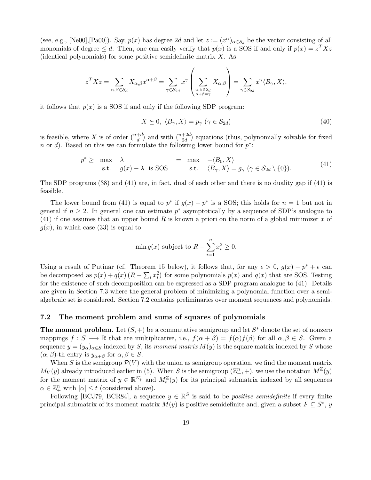(see, e.g., [Ne00],[Pa00]). Say,  $p(x)$  has degree 2d and let  $z := (x^{\alpha})_{\alpha \in S_d}$  be the vector consisting of all monomials of degree  $\leq d$ . Then, one can easily verify that  $p(x)$  is a SOS if and only if  $p(x) = z^T X z$ (identical polynomials) for some positive semidefinite matrix  $X$ . As

$$
z^T X z = \sum_{\alpha, \beta \in \mathcal{S}_d} X_{\alpha, \beta} x^{\alpha + \beta} = \sum_{\gamma \in \mathcal{S}_{2d}} x^{\gamma} \left( \sum_{\alpha, \beta \in \mathcal{S}_d \atop \alpha + \beta = \gamma} X_{\alpha, \beta} \right) = \sum_{\gamma \in \mathcal{S}_{2d}} x^{\gamma} \langle B_{\gamma}, X \rangle,
$$

it follows that  $p(x)$  is a SOS if and only if the following SDP program:

$$
X \succeq 0, \ \langle B_{\gamma}, X \rangle = p_{\gamma} \ (\gamma \in \mathcal{S}_{2d}) \tag{40}
$$

is feasible, where X is of order  $\binom{n+d}{d}$  and with  $\binom{n+2d}{2d}$  equations (thus, polynomially solvable for fixed n or d). Based on this we can formulate the following lower bound for  $p^*$ :

$$
p^* \geq \max_{\text{s.t.}} \lambda = \max_{g(x) - \lambda \text{ is SOS}} -\langle B_0, X \rangle
$$
  

$$
\langle B_{\gamma}, X \rangle = g_{\gamma} \ (\gamma \in S_{2d} \setminus \{0\}). \tag{41}
$$

The SDP programs (38) and (41) are, in fact, dual of each other and there is no duality gap if (41) is feasible.

The lower bound from (41) is equal to  $p^*$  if  $g(x) - p^*$  is a SOS; this holds for  $n = 1$  but not in general if  $n \geq 2$ . In general one can estimate  $p^*$  asymptotically by a sequence of SDP's analogue to (41) if one assumes that an upper bound R is known a priori on the norm of a global minimizer  $x$  of  $q(x)$ , in which case (33) is equal to

$$
\min g(x) \text{ subject to } R - \sum_{i=1}^{n} x_i^2 \ge 0.
$$

Using a result of Putinar (cf. Theorem 15 below), it follows that, for any  $\epsilon > 0$ ,  $g(x) - p^* + \epsilon$  can be decomposed as  $p(x) + q(x) (R - \sum_i x_i^2)$  for some polynomials  $p(x)$  and  $q(x)$  that are SOS. Testing for the existence of such decomposition can be expressed as a SDP program analogue to (41). Details are given in Section 7.3 where the general problem of minimizing a polynomial function over a semialgebraic set is considered. Section 7.2 contains preliminaries over moment sequences and polynomials.

### **7.2 The moment problem and sums of squares of polynomials**

**The moment problem.** Let  $(S, +)$  be a commutative semigroup and let  $S^*$  denote the set of nonzero mappings  $f : S \longrightarrow \mathbb{R}$  that are multiplicative, i.e.,  $f(\alpha + \beta) = f(\alpha)f(\beta)$  for all  $\alpha, \beta \in S$ . Given a sequence  $y = (y_\alpha)_{\alpha \in S}$  indexed by S, its moment matrix  $M(y)$  is the square matrix indexed by S whose  $(\alpha, \beta)$ -th entry is  $y_{\alpha+\beta}$  for  $\alpha, \beta \in S$ .

When S is the semigroup  $\mathcal{P}(V)$  with the union as semigroup operation, we find the moment matrix  $M_V(y)$  already introduced earlier in (5). When S is the semigroup  $(\mathbb{Z}_+^n, +)$ , we use the notation  $M^{\mathbb{Z}}(y)$ for the moment matrix of  $y \in \mathbb{R}^{\mathbb{Z}_+^n}$  and  $M_t^{\mathbb{Z}}(y)$  for its principal submatrix indexed by all sequences  $\alpha \in \mathbb{Z}_+^n$  with  $|\alpha| \leq t$  (considered above).

Following [BCJ79, BCR84], a sequence  $y \in \mathbb{R}^S$  is said to be *positive semidefinite* if every finite principal submatrix of its moment matrix  $M(y)$  is positive semidefinite and, given a subset  $F \subseteq S^*$ , y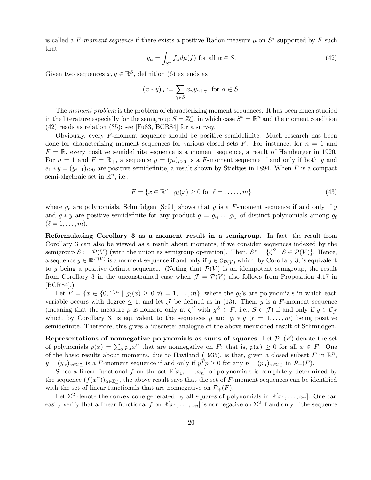is called a F-moment sequence if there exists a positive Radon measure  $\mu$  on  $S^*$  supported by F such that

$$
y_{\alpha} = \int_{S^*} f_{\alpha} d\mu(f) \text{ for all } \alpha \in S. \tag{42}
$$

Given two sequences  $x, y \in \mathbb{R}^S$ , definition (6) extends as

$$
(x * y)_{\alpha} := \sum_{\gamma \in S} x_{\gamma} y_{\alpha + \gamma} \text{ for } \alpha \in S.
$$

The moment problem is the problem of characterizing moment sequences. It has been much studied in the literature especially for the semigroup  $S = \mathbb{Z}_+^n$ , in which case  $S^* = \mathbb{R}^n$  and the moment condition (42) reads as relation (35); see [Fu83, BCR84] for a survey.

Obviously, every F-moment sequence should be positive semidefinite. Much research has been done for characterizing moment sequences for various closed sets F. For instance, for  $n = 1$  and  $F = \mathbb{R}$ , every positive semidefinite sequence is a moment sequence, a result of Hamburger in 1920. For  $n = 1$  and  $F = \mathbb{R}_+$ , a sequence  $y = (y_i)_{i>0}$  is a F-moment sequence if and only if both y and  $e_1 * y = (y_{i+1})_{i>0}$  are positive semidefinite, a result shown by Stieltjes in 1894. When F is a compact semi-algebraic set in  $\mathbb{R}^n$ , i.e.,

$$
F = \{x \in \mathbb{R}^n \mid g_\ell(x) \ge 0 \text{ for } \ell = 1, \dots, m\}
$$
\n
$$
(43)
$$

where  $g_\ell$  are polynomials, Schmüdgen [Sc91] shows that y is a F-moment sequence if and only if y and  $g * y$  are positive semidefinite for any product  $g = g_{i_1} \ldots g_{i_k}$  of distinct polynomials among  $g_\ell$  $(\ell = 1,\ldots,m).$ 

**Reformulating Corollary 3 as a moment result in a semigroup.** In fact, the result from Corollary 3 can also be viewed as a result about moments, if we consider sequences indexed by the semigroup  $S := \mathcal{P}(V)$  (with the union as semigroup operation). Then,  $S^* = {\{\zeta^S \mid S \in \mathcal{P}(V)\}}$ . Hence, a sequence  $y \in \mathbb{R}^{\mathcal{P}(V)}$  is a moment sequence if and only if  $y \in \mathcal{C}_{\mathcal{P}(V)}$  which, by Corollary 3, is equivalent to y being a positive definite sequence. (Noting that  $\mathcal{P}(V)$  is an idempotent semigroup, the result from Corollary 3 in the unconstrained case when  $\mathcal{J} = \mathcal{P}(V)$  also follows from Proposition 4.17 in [BCR84].)

Let  $F = \{x \in \{0,1\}^n \mid q_\ell(x) \geq 0 \ \forall l = 1,\ldots,m\}$ , where the  $q_\ell$ 's are polynomials in which each variable occurs with degree  $\leq 1$ , and let  $\mathcal J$  be defined as in (13). Then,  $y$  is a F-moment sequence (meaning that the measure  $\mu$  is nonzero only at  $\zeta^S$  with  $\chi^S \in F$ , i.e.,  $S \in \mathcal{J}$ ) if and only if  $y \in \mathcal{C}_\mathcal{J}$ which, by Corollary 3, is equivalent to the sequences y and  $g_{\ell} * y$  ( $\ell = 1, \ldots, m$ ) being positive semidefinite. Therefore, this gives a 'discrete' analogue of the above mentioned result of Schmüdgen.

**Representations of nonnegative polynomials as sums of squares.** Let  $\mathcal{P}_+(F)$  denote the set of polynomials  $p(x) = \sum_{\alpha} p_{\alpha} x^{\alpha}$  that are nonnegative on F; that is,  $p(x) \ge 0$  for all  $x \in F$ . One of the basic results about moments, due to Haviland (1935), is that, given a closed subset F in  $\mathbb{R}^n$ ,  $y = (y_{\alpha})_{\alpha \in \mathbb{Z}_{+}^{n}}$  is a F-moment sequence if and only if  $y^{T}p \geq 0$  for any  $p = (p_{\alpha})_{\alpha \in \mathbb{Z}_{+}^{n}}$  in  $\mathcal{P}_{+}(F)$ .

Since a linear functional f on the set  $\mathbb{R}[x_1,\ldots,x_n]$  of polynomials is completely determined by the sequence  $(f(x^{\alpha}))_{\alpha\in\mathbb{Z}_{+}^{n}}$ , the above result says that the set of F-moment sequences can be identified with the set of linear functionals that are nonnegative on  $\mathcal{P}_+(F)$ .

Let  $\Sigma^2$  denote the convex cone generated by all squares of polynomials in  $\mathbb{R}[x_1,\ldots,x_n]$ . One can easily verify that a linear functional f on  $\mathbb{R}[x_1,\ldots,x_n]$  is nonnegative on  $\Sigma^2$  if and only if the sequence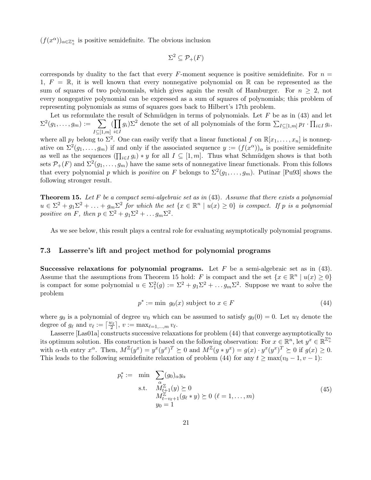$(f(x^{\alpha}))_{\alpha \in \mathbb{Z}_{+}^{n}}$  is positive semidefinite. The obvious inclusion

$$
\Sigma^2 \subseteq \mathcal{P}_+(F)
$$

corresponds by duality to the fact that every F-moment sequence is positive semidefinite. For  $n =$ 1,  $F = \mathbb{R}$ , it is well known that every nonnegative polynomial on  $\mathbb{R}$  can be represented as the sum of squares of two polynomials, which gives again the result of Hamburger. For  $n \geq 2$ , not every nongegative polynomial can be expressed as a sum of squares of polynomials; this problem of representing polynomials as sums of squares goes back to Hilbert's 17th problem.

Let us reformulate the result of Schmüdgen in terms of polynomials. Let  $F$  be as in (43) and let  $\Sigma^2(g_1,\ldots,g_m) := \;\; \sum$  $I \subseteq [1,m]$  $(\prod$ i∈I  $g_i$ ) $\Sigma^2$  denote the set of all polynomials of the form  $\sum_{I \subseteq [1,m]} p_I \cdot \prod_{i \in I} g_i$ ,

where all  $p_I$  belong to  $\Sigma^2$ . One can easily verify that a linear functional f on  $\mathbb{R}[x_1,\ldots,x_n]$  is nonnegative on  $\Sigma^2(g_1,\ldots,g_m)$  if and only if the associated sequence  $y := (f(x^{\alpha}))_{\alpha}$  is positive semidefinite as well as the sequences  $(\prod_{i\in I} g_i) * y$  for all  $I \subseteq [1,m]$ . Thus what Schmüdgen shows is that both sets  $\mathcal{P}_+(F)$  and  $\Sigma^2(g_1,\ldots,g_m)$  have the same sets of nonnegative linear functionals. From this follows that every polynomial p which is positive on F belongs to  $\Sigma^2(g_1,\ldots,g_m)$ . Putinar [Pu93] shows the following stronger result.

**Theorem 15.** Let F be a compact semi-algebraic set as in (43). Assume that there exists a polynomial  $u \in \Sigma^2 + g_1 \Sigma^2 + \ldots + g_m \Sigma^2$  for which the set  $\{x \in \mathbb{R}^n \mid u(x) \geq 0\}$  is compact. If p is a polynomial positive on F, then  $p \in \Sigma^2 + g_1 \Sigma^2 + \dots g_m \Sigma^2$ .

As we see below, this result plays a central role for evaluating asymptotically polynomial programs.

### **7.3 Lasserre's lift and project method for polynomial programs**

**Successive relaxations for polynomial programs.** Let F be a semi-algebraic set as in (43). Assume that the assumptions from Theorem 15 hold: F is compact and the set  $\{x \in \mathbb{R}^n \mid u(x) \geq 0\}$ is compact for some polynomial  $u \in \Sigma_1^2(g) := \Sigma^2 + g_1 \Sigma^2 + \dots g_m \Sigma^2$ . Suppose we want to solve the problem

$$
p^* := \min \ g_0(x) \text{ subject to } x \in F \tag{44}
$$

where  $g_0$  is a polynomial of degree  $w_0$  which can be assumed to satisfy  $g_0(0) = 0$ . Let  $w_\ell$  denote the degree of  $g_\ell$  and  $v_\ell := \lceil \frac{w_\ell}{2} \rceil$ ,  $v := \max_{\ell=1,\dots,m} v_\ell$ .

Lasserre [Las01a] constructs successive relaxations for problem (44) that converge asymptotically to its optimum solution. His construction is based on the following observation: For  $x \in \mathbb{R}^n$ , let  $y^x \in \mathbb{R}^{\mathbb{Z}_+^n}$ with  $\alpha$ -th entry  $x^{\alpha}$ . Then,  $M^{\mathbb{Z}}(y^x) = y^x(y^x)^T \succeq 0$  and  $M^{\mathbb{Z}}(y^* \ast y^x) = g(x) \cdot y^x(y^x)^T \succeq 0$  if  $g(x) \geq 0$ . This leads to the following semidefinite relaxation of problem (44) for any  $t \ge \max(v_0 - 1, v - 1)$ :

$$
p_t^* := \min \sum_{\substack{\alpha \\ \alpha \in \mathbb{Z}^{\mathbb{Z}} \\ M_{t+1}^{\mathbb{Z}}(y) \succeq 0 \\ M_{t-v_{\ell}+1}^{\mathbb{Z}}(g_{\ell} * y) \succeq 0 \ (\ell = 1, \dots, m) \\ y_0 = 1 \tag{45}
$$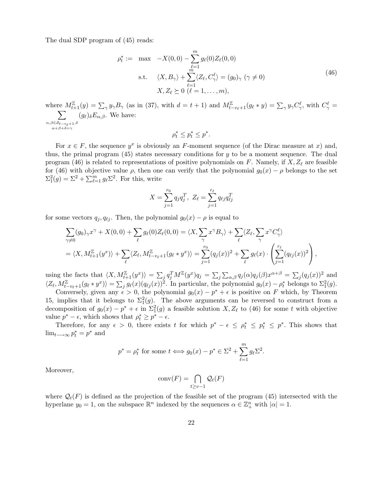The dual SDP program of (45) reads:

$$
\rho_t^* := \max \quad -X(0,0) - \sum_{\ell=1}^m g_\ell(0) Z_\ell(0,0)
$$
\n
$$
\text{s.t.} \quad \langle X, B_\gamma \rangle + \sum_{\ell=1}^m \langle Z_\ell, C_\gamma^\ell \rangle = (g_0)_\gamma \ (\gamma \neq 0)
$$
\n
$$
X, Z_\ell \succeq 0 \ (\ell = 1, \dots, m),
$$
\n(46)

where  $M_{t+1}^{\mathbb{Z}}(y) = \sum_{\gamma} y_{\gamma} B_{\gamma}$  (as in (37), with  $d = t + 1$ ) and  $M_{t-v_{\ell}+1}^{\mathbb{Z}}(g_{\ell} * y) = \sum_{\gamma} y_{\gamma} C_{\gamma}^{\ell}$ , with  $C_{\gamma}^{\ell} =$  $\sum$  $\alpha, \beta \in S_{t-v_{\ell}+1}, \delta$ <br> $\alpha+\beta+\delta=\gamma$  $(g_{\ell})_{\delta}E_{\alpha,\beta}$ . We have:  $\rho_t^* \leq p_t^* \leq p^*.$ 

For  $x \in F$ , the sequence  $y^x$  is obviously an F-moment sequence (of the Dirac measure at x) and, thus, the primal program  $(45)$  states necessary conditions for y to be a moment sequence. The dual program (46) is related to representations of positive polynomials on F. Namely, if  $X, Z_{\ell}$  are feasible for (46) with objective value  $\rho$ , then one can verify that the polynomial  $g_0(x) - \rho$  belongs to the set  $\Sigma_1^2(g) = \Sigma^2 + \sum_{\ell=1}^m g_\ell \Sigma^2$ . For this, write

$$
X = \sum_{j=1}^{r_0} q_j q_j^T, \ Z_{\ell} = \sum_{j=1}^{r_{\ell}} q_{\ell j} q_{\ell j}^T
$$

for some vectors  $q_i, q_{\ell i}$ . Then, the polynomial  $g_0(x) - \rho$  is equal to

$$
\sum_{\gamma \neq 0} (g_0)_{\gamma} x^{\gamma} + X(0,0) + \sum_{\ell} g_{\ell}(0) Z_{\ell}(0,0) = \langle X, \sum_{\gamma} x^{\gamma} B_{\gamma} \rangle + \sum_{\ell} \langle Z_{\ell}, \sum_{\gamma} x^{\gamma} C_{\gamma}^{\ell} \rangle
$$
  
=  $\langle X, M_{t+1}^{\mathbb{Z}}(y^x) \rangle + \sum_{\ell} \langle Z_{\ell}, M_{t-v_{\ell}+1}^{\mathbb{Z}}(g_{\ell} * y^x) \rangle = \sum_{j=1}^{r_0} (q_j(x))^2 + \sum_{\ell} g_{\ell}(x) \cdot \left( \sum_{j=1}^{r_{\ell}} (q_{\ell j}(x))^2 \right),$ 

using the facts that  $\langle X, M_{t+1}^{\mathbb{Z}}(y^x) \rangle = \sum_j q_j^T M^{\mathbb{Z}}(y^x) q_j = \sum_j \sum_{\alpha,\beta} q_j(\alpha) q_j(\beta) x^{\alpha+\beta} = \sum_j (q_j(x))^2$  and  $\langle Z_{\ell}, M^{\mathbb{Z}}_{t-v_{\ell}+1}(g_{\ell} * y^x) \rangle = \sum_j g_{\ell}(x)(q_{\ell j}(x))^2$ . In particular, the polynomial  $g_0(x) - \rho_t^*$  belongs to  $\Sigma_1^2(g)$ .

Conversely, given any  $\epsilon > 0$ , the polynomial  $g_0(x) - p^* + \epsilon$  is positive on F which, by Theorem 15, implies that it belongs to  $\Sigma_1^2(g)$ . The above arguments can be reversed to construct from a decomposition of  $g_0(x) - p^* + \epsilon$  in  $\Sigma_1^2(g)$  a feasible solution  $X, Z_\ell$  to (46) for some t with objective value  $p^* - \epsilon$ , which shows that  $\rho_t^* \geq p^* - \epsilon$ .

Therefore, for any  $\epsilon > 0$ , there exists t for which  $p^* - \epsilon \leq \rho_t^* \leq p_t^* \leq p^*$ . This shows that  $\lim_{t\longrightarrow\infty}p_t^*=p^*$  and

$$
p^* = \rho_t^*
$$
 for some  $t \Longleftrightarrow g_0(x) - p^* \in \Sigma^2 + \sum_{\ell=1}^m g_\ell \Sigma^2$ .

Moreover,

$$
conv(F) = \bigcap_{t \ge v-1} \mathcal{Q}_t(F)
$$

where  $\mathcal{Q}_t(F)$  is defined as the projection of the feasible set of the program (45) intersected with the hyperlane  $y_0 = 1$ , on the subspace  $\mathbb{R}^n$  indexed by the sequences  $\alpha \in \mathbb{Z}_+^n$  with  $|\alpha| = 1$ .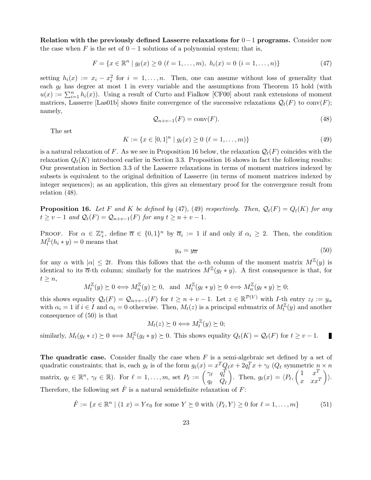**Relation with the previously defined Lasserre relaxations for** 0−1 **programs.** Consider now the case when F is the set of  $0 - 1$  solutions of a polynomial system; that is,

$$
F = \{x \in \mathbb{R}^n \mid g_\ell(x) \ge 0 \ (\ell = 1, \dots, m), \ h_i(x) = 0 \ (i = 1, \dots, n)\}\
$$
\n(47)

setting  $h_i(x) := x_i - x_i^2$  for  $i = 1, ..., n$ . Then, one can assume without loss of generality that each  $g_{\ell}$  has degree at most 1 in every variable and the assumptions from Theorem 15 hold (with  $u(x) := \sum_{i=1}^{n} h_i(x)$ . Using a result of Curto and Fialkow [CF00] about rank extensions of moment matrices, Lasserre [Las01b] shows finite convergence of the successive relaxations  $\mathcal{Q}_t(F)$  to conv $(F)$ ; namely,

$$
\mathcal{Q}_{n+v-1}(F) = \text{conv}(F). \tag{48}
$$

The set

$$
K := \{ x \in [0,1]^n \mid g_{\ell}(x) \ge 0 \ (\ell = 1, \dots, m) \}
$$
\n(49)

is a natural relaxation of F. As we see in Proposition 16 below, the relaxation  $\mathcal{Q}_t(F)$  coincides with the relaxation  $Q_t(K)$  introduced earlier in Section 3.3. Proposition 16 shows in fact the following results: Our presentation in Section 3.3 of the Lasserre relaxations in terms of moment matrices indexed by subsets is equivalent to the original definition of Lasserre (in terms of moment matrices indexed by integer sequences); as an application, this gives an elementary proof for the convergence result from relation (48).

**Proposition 16.** Let F and K be defined by (47), (49) respectively. Then,  $Q_t(F) = Q_t(K)$  for any  $t \ge v - 1$  and  $\mathcal{Q}_t(F) = \mathcal{Q}_{n+v-1}(F)$  for any  $t \ge n+v-1$ .

PROOF. For  $\alpha \in \mathbb{Z}_+^n$ , define  $\overline{\alpha} \in \{0,1\}^n$  by  $\overline{\alpha}_i := 1$  if and only if  $\alpha_i \geq 2$ . Then, the condition  $M_t^{\mathbb{Z}}(h_i * y) = 0$  means that

$$
y_{\alpha} = y_{\overline{\alpha}} \tag{50}
$$

for any  $\alpha$  with  $|\alpha| \leq 2t$ . From this follows that the  $\alpha$ -th column of the moment matrix  $M^{\mathbb{Z}}(y)$  is identical to its  $\overline{\alpha}$ -th column; similarly for the matrices  $M^{\mathbb{Z}}(g_{\ell} * y)$ . A first consequence is that, for  $t \geq n$ ,

$$
M_t^{\mathbb{Z}}(y) \succeq 0 \Longleftrightarrow M_n^{\mathbb{Z}}(y) \succeq 0
$$
, and  $M_t^{\mathbb{Z}}(g_{\ell} * y) \succeq 0 \Longleftrightarrow M_n^{\mathbb{Z}}(g_{\ell} * y) \succeq 0$ ;

this shows equality  $\mathcal{Q}_t(F) = \mathcal{Q}_{n+v-1}(F)$  for  $t \geq n+v-1$ . Let  $z \in \mathbb{R}^{\mathcal{P}(V)}$  with *I*-th entry  $z_I := y_\alpha$ with  $\alpha_i = 1$  if  $i \in I$  and  $\alpha_i = 0$  otherwise. Then,  $M_t(z)$  is a principal submatrix of  $M_t^{\mathbb{Z}}(y)$  and another consequence of (50) is that

$$
M_t(z) \succeq 0 \Longleftrightarrow M_t^{\mathbb{Z}}(y) \succeq 0;
$$

similarly,  $M_t(g_\ell * z) \succeq 0 \Longleftrightarrow M_t^{\mathbb{Z}}(g_\ell * y) \succeq 0$ . This shows equality  $Q_t(K) = Q_t(F)$  for  $t \ge v - 1$ . П

**The quadratic case.** Consider finally the case when F is a semi-algebraic set defined by a set of quadratic constraints; that is, each  $g_\ell$  is of the form  $g_\ell(x) = x^T Q_\ell x + 2q_\ell^T x + \gamma_\ell (Q_\ell \text{ symmetric } \frac{n}{x} \times n$ matrix,  $q_\ell \in \mathbb{R}^n$ ,  $\gamma_\ell \in \mathbb{R}$ ). For  $\ell = 1,\ldots,m$ , set  $P_\ell := \begin{pmatrix} \gamma_\ell & q_\ell^T \\ \gamma_\ell & \gamma_\ell^T \end{pmatrix}$  $q_\ell$   $Q_\ell$ ). Then,  $g_{\ell}(x) = \langle P_{\ell}, \begin{pmatrix} 1 & x^T \ x & x^T \end{pmatrix}$  $x \quad xx^T$  $\rangle$ . Therefore, the following set  $\hat{F}$  is a natural semidefinite relaxation of  $F$ :

$$
\hat{F} := \{ x \in \mathbb{R}^n \mid (1 \ x) = Ye_0 \text{ for some } Y \succeq 0 \text{ with } \langle P_\ell, Y \rangle \ge 0 \text{ for } \ell = 1, \dots, m \}
$$
(51)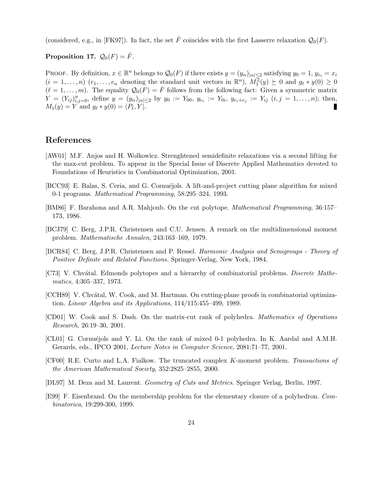(considered, e.g., in [FK97]). In fact, the set  $\hat{F}$  coincides with the first Lasserre relaxation  $\mathcal{Q}_0(F)$ .

### **Proposition 17.**  $\mathcal{Q}_0(F) = \hat{F}$ .

PROOF. By definition,  $x \in \mathbb{R}^n$  belongs to  $\mathcal{Q}_0(F)$  if there exists  $y = (y_\alpha)_{|\alpha| \leq 2}$  satisfying  $y_0 = 1$ ,  $y_{e_i} = x_i$  $(i = 1, \ldots, n)$   $(e_1, \ldots, e_n$  denoting the standard unit vectors in  $\mathbb{R}^n$ ,  $M_1^{\mathbb{Z}}(y) \succeq 0$  and  $g_{\ell} * y(0) \geq 0$  $(\ell = 1,\ldots,m)$ . The equality  $\mathcal{Q}_0(F) = \hat{F}$  follows from the following fact: Given a symmetric matrix  $Y = (Y_{ij})_{i,j=0}^n$ , define  $y = (y_{\alpha})_{|\alpha| \leq 2}$  by  $y_0 := Y_{00}$ ,  $y_{e_i} := Y_{0i}$ ,  $y_{e_i+e_j} := Y_{ij}$   $(i, j = 1, ..., n)$ ; then,  $M_1(y) = Y$  and  $q_\ell * y(0) = \langle P_\ell, Y \rangle$ .

### **References**

- [AW01] M.F. Anjos and H. Wolkowicz. Strenghtened semidefinite relaxations via a second lifting for the max-cut problem. To appear in the Special Issue of Discrete Applied Mathematics devoted to Foundations of Heuristics in Combinatorial Optimization, 2001.
- [BCC93] E. Balas, S. Ceria, and G. Cornuéjols. A lift-and-project cutting plane algorithm for mixed 0-1 programs. Mathematical Programming, 58:295–324, 1993.
- [BM86] F. Barahona and A.R. Mahjoub. On the cut polytope. Mathematical Programming, 36:157– 173, 1986.
- [BCJ79] C. Berg, J.P.R. Christensen and C.U. Jensen. A remark on the multidimensional moment problem. Mathematische Annalen, 243:163–169, 1979.
- [BCR84] C. Berg, J.P.R. Christensen and P. Ressel. Harmonic Analysis and Semigroups Theory of Positive Definite and Related Functions. Springer-Verlag, New York, 1984.
- [C73] V. Chvátal. Edmonds polytopes and a hierarchy of combinatorial problems. Discrete Mathematics, 4:305–337, 1973.
- [CCH89] V. Chvátal, W. Cook, and M. Hartman. On cutting-plane proofs in combinatorial optimization. Linear Algebra and its Applications, 114/115:455–499, 1989.
- [CD01] W. Cook and S. Dash. On the matrix-cut rank of polyhedra. Mathematics of Operations Research, 26:19–30, 2001.
- [CL01] G. Cornuéjols and Y. Li. On the rank of mixed 0-1 polyhedra. In K. Aardal and A.M.H. Gerards, eds., IPCO 2001, Lecture Notes in Computer Science, 2081:71–77, 2001.
- [CF00] R.E. Curto and L.A. Fialkow. The truncated complex K-moment problem. Transactions of the American Mathematical Society, 352:2825–2855, 2000.
- [DL97] M. Deza and M. Laurent. Geometry of Cuts and Metrics. Springer Verlag, Berlin, 1997.
- [E99] F. Eisenbrand. On the membership problem for the elementary closure of a polyhedron. Combinatorica, 19:299-300, 1999.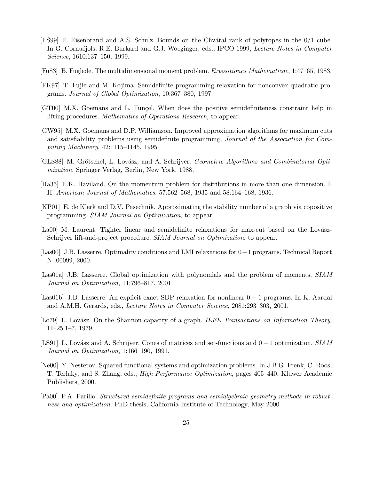- [ES99] F. Eisenbrand and A.S. Schulz. Bounds on the Chvátal rank of polytopes in the 0/1 cube. In G. Cornuéjols, R.E. Burkard and G.J. Woeginger, eds., IPCO 1999, Lecture Notes in Computer Science, 1610:137–150, 1999.
- [Fu83] B. Fuglede. The multidimensional moment problem. Expositiones Mathematicae, 1:47–65, 1983.
- [FK97] T. Fujie and M. Kojima. Semidefinite programming relaxation for nonconvex quadratic programs. Journal of Global Optimization, 10:367–380, 1997.
- [GT00] M.X. Goemans and L. Tunçel. When does the positive semidefiniteness constraint help in lifting procedures. Mathematics of Operations Research, to appear.
- [GW95] M.X. Goemans and D.P. Williamson. Improved approximation algorithms for maximum cuts and satisfiability problems using semidefinite programming. Journal of the Association for Computing Machinery, 42:1115–1145, 1995.
- [GLS88] M. Grötschel, L. Lovász, and A. Schrijver. Geometric Algorithms and Combinatorial Optimization. Springer Verlag, Berlin, New York, 1988.
- [Ha35] E.K. Haviland. On the momentum problem for distributions in more than one dimension. I. II. American Journal of Mathematics, 57:562–568, 1935 and 58:164–168, 1936.
- [KP01] E. de Klerk and D.V. Pasechnik. Approximating the stability number of a graph via copositive programming. SIAM Journal on Optimization, to appear.
- [La00] M. Laurent. Tighter linear and semidefinite relaxations for max-cut based on the Lovász-Schrijver lift-and-project procedure. SIAM Journal on Optimization, to appear.
- [Las00] J.B. Lasserre. Optimality conditions and LMI relaxations for 0−1 programs. Technical Report N. 00099, 2000.
- [Las01a] J.B. Lasserre. Global optimization with polynomials and the problem of moments. SIAM Journal on Optimization, 11:796–817, 2001.
- [Las01b] J.B. Lasserre. An explicit exact SDP relaxation for nonlinear 0 − 1 programs. In K. Aardal and A.M.H. Gerards, eds., Lecture Notes in Computer Science, 2081:293–303, 2001.
- [Lo79] L. Lovász. On the Shannon capacity of a graph. IEEE Transactions on Information Theory, IT-25:1–7, 1979.
- [LS91] L. Lovász and A. Schrijver. Cones of matrices and set-functions and  $0 1$  optimization. SIAM Journal on Optimization, 1:166–190, 1991.
- [Ne00] Y. Nesterov. Squared functional systems and optimization problems. In J.B.G. Frenk, C. Roos, T. Terlaky, and S. Zhang, eds., High Performance Optimization, pages 405–440. Kluwer Academic Publishers, 2000.
- [Pa00] P.A. Parillo. Structured semidefinite programs and semialgebraic geometry methods in robustness and optimization. PhD thesis, California Institute of Technology, May 2000.